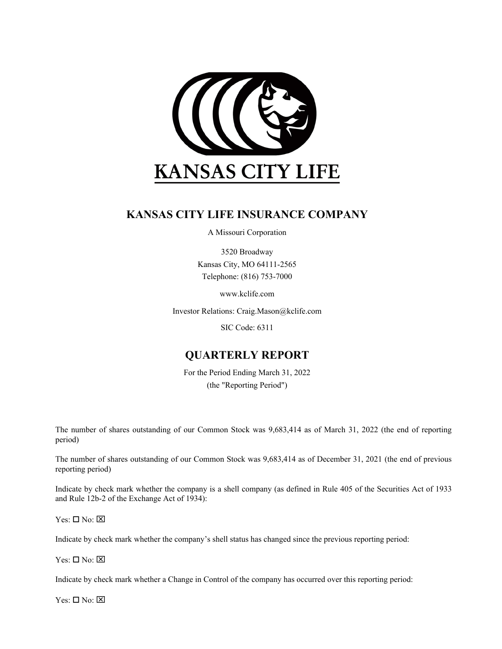

# **KANSAS CITY LIFE INSURANCE COMPANY**

A Missouri Corporation

3520 Broadway Kansas City, MO 64111-2565 Telephone: (816) 753-7000

www.kclife.com

Investor Relations: Craig.Mason@kclife.com

SIC Code: 6311

# **QUARTERLY REPORT**

For the Period Ending March 31, 2022 (the "Reporting Period")

The number of shares outstanding of our Common Stock was 9,683,414 as of March 31, 2022 (the end of reporting period)

The number of shares outstanding of our Common Stock was 9,683,414 as of December 31, 2021 (the end of previous reporting period)

Indicate by check mark whether the company is a shell company (as defined in Rule 405 of the Securities Act of 1933 and Rule 12b-2 of the Exchange Act of 1934):

 $Yes: \Box No: \boxtimes$ 

Indicate by check mark whether the company's shell status has changed since the previous reporting period:

 $Yes: \Box No: \boxtimes$ 

Indicate by check mark whether a Change in Control of the company has occurred over this reporting period:

 $Yes: \Box No: \boxtimes$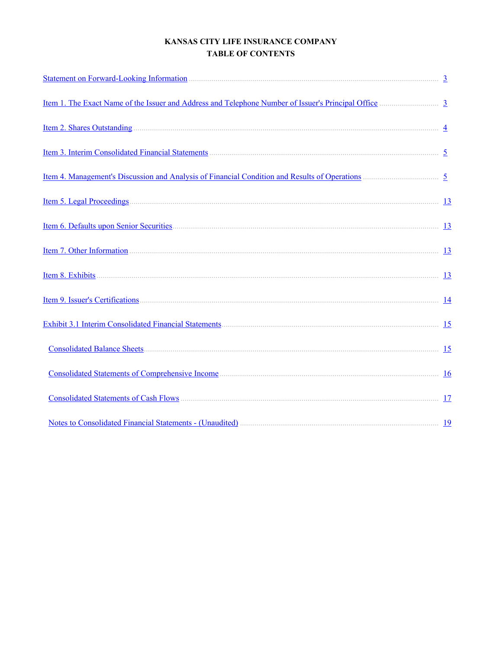# KANSAS CITY LIFE INSURANCE COMPANY **TABLE OF CONTENTS**

| Item 1. The Exact Name of the Issuer and Address and Telephone Number of Issuer's Principal Office <b>Exact Name of the Issuer</b> 's 2                                                                                        |                |
|--------------------------------------------------------------------------------------------------------------------------------------------------------------------------------------------------------------------------------|----------------|
|                                                                                                                                                                                                                                |                |
|                                                                                                                                                                                                                                |                |
| <u>Item 4. Management's Discussion and Analysis of Financial Condition and Results of Operations</u>                                                                                                                           |                |
|                                                                                                                                                                                                                                |                |
|                                                                                                                                                                                                                                |                |
|                                                                                                                                                                                                                                |                |
|                                                                                                                                                                                                                                |                |
|                                                                                                                                                                                                                                |                |
| Exhibit 3.1 Interim Consolidated Financial Statements (2008) 2014 15 15                                                                                                                                                        |                |
|                                                                                                                                                                                                                                |                |
| Consolidated Statements of Comprehensive Income Material Consolidated Statements of Comprehensive Income                                                                                                                       |                |
| Consolidated Statements of Cash Flows (2008) 2016 12:00 12:00 12:00 12:00 12:00 12:00 12:00 12:00 12:00 12:00 12:00 12:00 12:00 12:00 12:00 12:00 12:00 12:00 12:00 12:00 12:00 12:00 12:00 12:00 12:00 12:00 12:00 12:00 12:0 | $\frac{17}{2}$ |
| Notes to Consolidated Financial Statements - (Unaudited) <b>Matter and Statements</b> - 19                                                                                                                                     |                |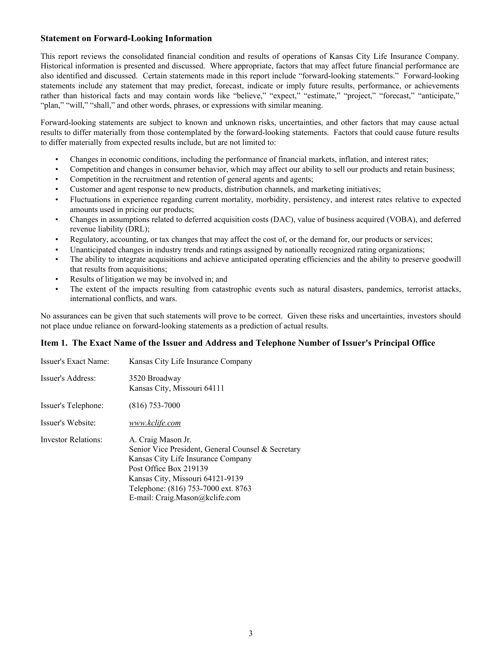## <span id="page-2-0"></span>**Statement on Forward-Looking Information**

This report reviews the consolidated financial condition and results of operations of Kansas City Life Insurance Company. Historical information is presented and discussed. Where appropriate, factors that may affect future financial performance are also identified and discussed. Certain statements made in this report include "forward-looking statements." Forward-looking statements include any statement that may predict, forecast, indicate or imply future results, performance, or achievements rather than historical facts and may contain words like "believe," "expect," "estimate," "project," "forecast," "anticipate," "plan," "will," "shall," and other words, phrases, or expressions with similar meaning.

Forward-looking statements are subject to known and unknown risks, uncertainties, and other factors that may cause actual results to differ materially from those contemplated by the forward-looking statements. Factors that could cause future results to differ materially from expected results include, but are not limited to:

- Changes in economic conditions, including the performance of financial markets, inflation, and interest rates;
- Competition and changes in consumer behavior, which may affect our ability to sell our products and retain business;
- Competition in the recruitment and retention of general agents and agents;
- Customer and agent response to new products, distribution channels, and marketing initiatives;
- Fluctuations in experience regarding current mortality, morbidity, persistency, and interest rates relative to expected amounts used in pricing our products;
- Changes in assumptions related to deferred acquisition costs (DAC), value of business acquired (VOBA), and deferred revenue liability (DRL);
- Regulatory, accounting, or tax changes that may affect the cost of, or the demand for, our products or services;
- Unanticipated changes in industry trends and ratings assigned by nationally recognized rating organizations;
- The ability to integrate acquisitions and achieve anticipated operating efficiencies and the ability to preserve goodwill that results from acquisitions;
- Results of litigation we may be involved in; and
- The extent of the impacts resulting from catastrophic events such as natural disasters, pandemics, terrorist attacks, international conflicts, and wars.

No assurances can be given that such statements will prove to be correct. Given these risks and uncertainties, investors should not place undue reliance on forward-looking statements as a prediction of actual results.

### **Item 1. The Exact Name of the Issuer and Address and Telephone Number of Issuer's Principal Office**

| Issuer's Exact Name: | Kansas City Life Insurance Company                                                                                                                                                                                                                    |
|----------------------|-------------------------------------------------------------------------------------------------------------------------------------------------------------------------------------------------------------------------------------------------------|
| Issuer's Address:    | 3520 Broadway<br>Kansas City, Missouri 64111                                                                                                                                                                                                          |
| Issuer's Telephone:  | $(816)$ 753-7000                                                                                                                                                                                                                                      |
| Issuer's Website:    | www.kclife.com                                                                                                                                                                                                                                        |
| Investor Relations:  | A. Craig Mason Jr.<br>Senior Vice President, General Counsel & Secretary<br>Kansas City Life Insurance Company<br>Post Office Box 219139<br>Kansas City, Missouri 64121-9139<br>Telephone: (816) 753-7000 ext. 8763<br>E-mail: Craig.Mason@kclife.com |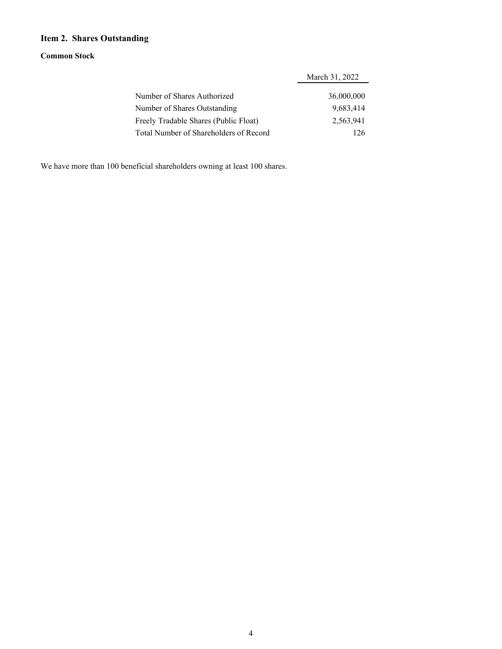# <span id="page-3-0"></span>**Item 2. Shares Outstanding**

## **Common Stock**

|                                        | March 31, 2022 |
|----------------------------------------|----------------|
| Number of Shares Authorized            | 36,000,000     |
| Number of Shares Outstanding           | 9,683,414      |
| Freely Tradable Shares (Public Float)  | 2,563,941      |
| Total Number of Shareholders of Record |                |

We have more than 100 beneficial shareholders owning at least 100 shares.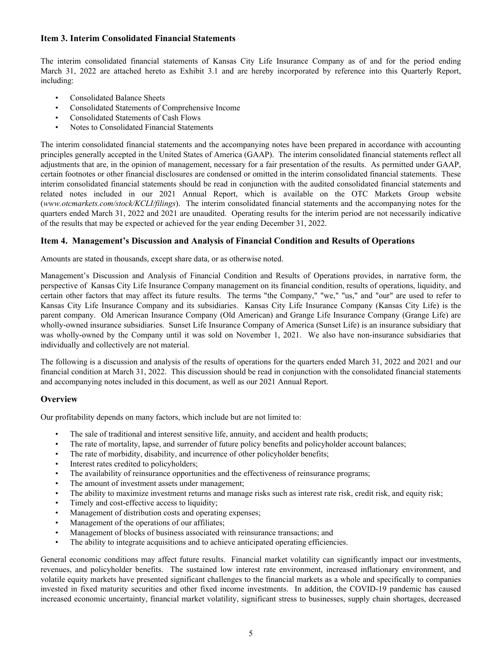## <span id="page-4-0"></span>**Item 3. Interim Consolidated Financial Statements**

The interim consolidated financial statements of Kansas City Life Insurance Company as of and for the period ending March 31, 2022 are attached hereto as Exhibit 3.1 and are hereby incorporated by reference into this Quarterly Report, including:

- Consolidated Balance Sheets
- Consolidated Statements of Comprehensive Income
- Consolidated Statements of Cash Flows
- Notes to Consolidated Financial Statements

The interim consolidated financial statements and the accompanying notes have been prepared in accordance with accounting principles generally accepted in the United States of America (GAAP). The interim consolidated financial statements reflect all adjustments that are, in the opinion of management, necessary for a fair presentation of the results. As permitted under GAAP, certain footnotes or other financial disclosures are condensed or omitted in the interim consolidated financial statements. These interim consolidated financial statements should be read in conjunction with the audited consolidated financial statements and related notes included in our 2021 Annual Report, which is available on the OTC Markets Group website (*www.otcmarkets.com/stock/KCLI/filings*). The interim consolidated financial statements and the accompanying notes for the quarters ended March 31, 2022 and 2021 are unaudited. Operating results for the interim period are not necessarily indicative of the results that may be expected or achieved for the year ending December 31, 2022.

## **Item 4. Management's Discussion and Analysis of Financial Condition and Results of Operations**

Amounts are stated in thousands, except share data, or as otherwise noted.

Management's Discussion and Analysis of Financial Condition and Results of Operations provides, in narrative form, the perspective of Kansas City Life Insurance Company management on its financial condition, results of operations, liquidity, and certain other factors that may affect its future results. The terms "the Company," "we," "us," and "our" are used to refer to Kansas City Life Insurance Company and its subsidiaries. Kansas City Life Insurance Company (Kansas City Life) is the parent company. Old American Insurance Company (Old American) and Grange Life Insurance Company (Grange Life) are wholly-owned insurance subsidiaries. Sunset Life Insurance Company of America (Sunset Life) is an insurance subsidiary that was wholly-owned by the Company until it was sold on November 1, 2021. We also have non-insurance subsidiaries that individually and collectively are not material.

The following is a discussion and analysis of the results of operations for the quarters ended March 31, 2022 and 2021 and our financial condition at March 31, 2022. This discussion should be read in conjunction with the consolidated financial statements and accompanying notes included in this document, as well as our 2021 Annual Report.

## **Overview**

Our profitability depends on many factors, which include but are not limited to:

- The sale of traditional and interest sensitive life, annuity, and accident and health products;
- The rate of mortality, lapse, and surrender of future policy benefits and policyholder account balances;
- The rate of morbidity, disability, and incurrence of other policyholder benefits;
- Interest rates credited to policyholders;
- The availability of reinsurance opportunities and the effectiveness of reinsurance programs;
- The amount of investment assets under management;
- The ability to maximize investment returns and manage risks such as interest rate risk, credit risk, and equity risk;
- Timely and cost-effective access to liquidity;
- Management of distribution costs and operating expenses;
- Management of the operations of our affiliates;
- Management of blocks of business associated with reinsurance transactions; and
- The ability to integrate acquisitions and to achieve anticipated operating efficiencies.

General economic conditions may affect future results. Financial market volatility can significantly impact our investments, revenues, and policyholder benefits. The sustained low interest rate environment, increased inflationary environment, and volatile equity markets have presented significant challenges to the financial markets as a whole and specifically to companies invested in fixed maturity securities and other fixed income investments. In addition, the COVID-19 pandemic has caused increased economic uncertainty, financial market volatility, significant stress to businesses, supply chain shortages, decreased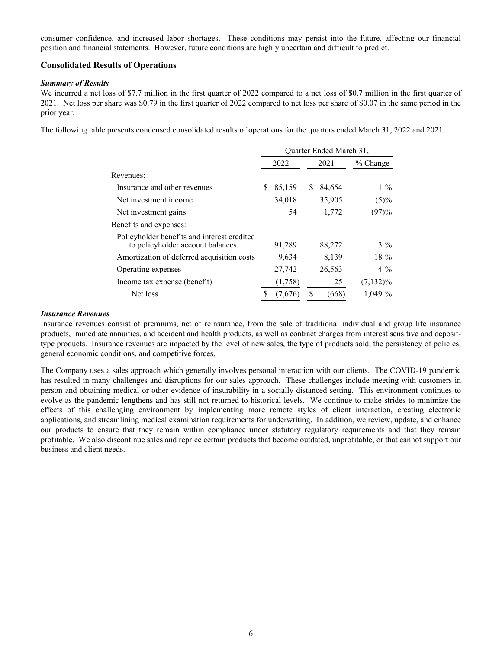consumer confidence, and increased labor shortages. These conditions may persist into the future, affecting our financial position and financial statements. However, future conditions are highly uncertain and difficult to predict.

## **Consolidated Results of Operations**

### *Summary of Results*

We incurred a net loss of \$7.7 million in the first quarter of 2022 compared to a net loss of \$0.7 million in the first quarter of 2021. Net loss per share was \$0.79 in the first quarter of 2022 compared to net loss per share of \$0.07 in the same period in the prior year.

The following table presents condensed consolidated results of operations for the quarters ended March 31, 2022 and 2021.

|                                                                                 | Ouarter Ended March 31. |         |   |        |             |
|---------------------------------------------------------------------------------|-------------------------|---------|---|--------|-------------|
|                                                                                 |                         | 2022    |   | 2021   | $%$ Change  |
| Revenues:                                                                       |                         |         |   |        |             |
| Insurance and other revenues                                                    | S                       | 85,159  | S | 84,654 | $1\%$       |
| Net investment income                                                           |                         | 34,018  |   | 35,905 | $(5)\%$     |
| Net investment gains                                                            |                         | 54      |   | 1,772  | (97)%       |
| Benefits and expenses:                                                          |                         |         |   |        |             |
| Policyholder benefits and interest credited<br>to policyholder account balances |                         | 91,289  |   | 88,272 | $3\%$       |
| Amortization of deferred acquisition costs                                      |                         | 9,634   |   | 8,139  | $18 \%$     |
| Operating expenses                                                              |                         | 27,742  |   | 26,563 | $4\%$       |
| Income tax expense (benefit)                                                    |                         | (1,758) |   | 25     | $(7,132)\%$ |
| Net loss                                                                        |                         | (7,676) |   | (668)  | $1.049\%$   |

#### *Insurance Revenues*

Insurance revenues consist of premiums, net of reinsurance, from the sale of traditional individual and group life insurance products, immediate annuities, and accident and health products, as well as contract charges from interest sensitive and deposittype products. Insurance revenues are impacted by the level of new sales, the type of products sold, the persistency of policies, general economic conditions, and competitive forces.

The Company uses a sales approach which generally involves personal interaction with our clients. The COVID-19 pandemic has resulted in many challenges and disruptions for our sales approach. These challenges include meeting with customers in person and obtaining medical or other evidence of insurability in a socially distanced setting. This environment continues to evolve as the pandemic lengthens and has still not returned to historical levels. We continue to make strides to minimize the effects of this challenging environment by implementing more remote styles of client interaction, creating electronic applications, and streamlining medical examination requirements for underwriting. In addition, we review, update, and enhance our products to ensure that they remain within compliance under statutory regulatory requirements and that they remain profitable. We also discontinue sales and reprice certain products that become outdated, unprofitable, or that cannot support our business and client needs.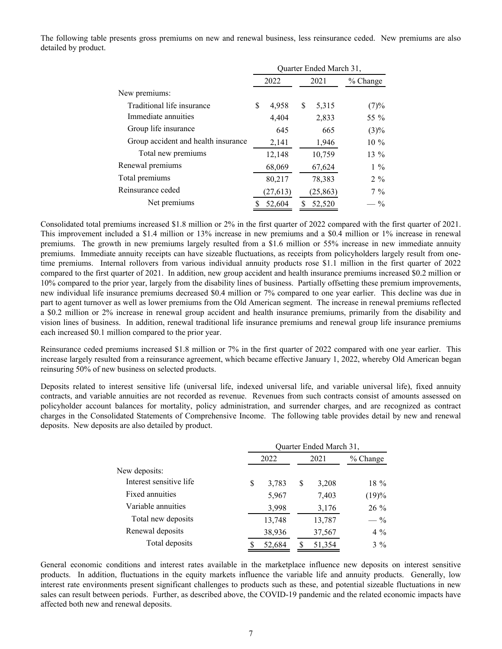The following table presents gross premiums on new and renewal business, less reinsurance ceded. New premiums are also detailed by product.

|                                     | Quarter Ended March 31, |           |    |           |               |
|-------------------------------------|-------------------------|-----------|----|-----------|---------------|
|                                     |                         | 2022      |    | 2021      | $%$ Change    |
| New premiums:                       |                         |           |    |           |               |
| Traditional life insurance          | \$                      | 4,958     | \$ | 5,315     | (7)%          |
| Immediate annuities                 |                         | 4,404     |    | 2,833     | 55 %          |
| Group life insurance                |                         | 645       |    | 665       | $(3)\%$       |
| Group accident and health insurance |                         | 2,141     |    | 1,946     | $10\%$        |
| Total new premiums                  |                         | 12,148    |    | 10,759    | 13 %          |
| Renewal premiums                    |                         | 68,069    |    | 67,624    | $1\%$         |
| Total premiums                      |                         | 80,217    |    | 78,383    | $2\%$         |
| Reinsurance ceded                   |                         | (27, 613) |    | (25, 863) | $7\%$         |
| Net premiums                        |                         | 52,604    | \$ | 52,520    | $\frac{0}{0}$ |

Consolidated total premiums increased \$1.8 million or 2% in the first quarter of 2022 compared with the first quarter of 2021. This improvement included a \$1.4 million or 13% increase in new premiums and a \$0.4 million or 1% increase in renewal premiums. The growth in new premiums largely resulted from a \$1.6 million or 55% increase in new immediate annuity premiums. Immediate annuity receipts can have sizeable fluctuations, as receipts from policyholders largely result from onetime premiums. Internal rollovers from various individual annuity products rose \$1.1 million in the first quarter of 2022 compared to the first quarter of 2021. In addition, new group accident and health insurance premiums increased \$0.2 million or 10% compared to the prior year, largely from the disability lines of business. Partially offsetting these premium improvements, new individual life insurance premiums decreased \$0.4 million or 7% compared to one year earlier. This decline was due in part to agent turnover as well as lower premiums from the Old American segment. The increase in renewal premiums reflected a \$0.2 million or 2% increase in renewal group accident and health insurance premiums, primarily from the disability and vision lines of business. In addition, renewal traditional life insurance premiums and renewal group life insurance premiums each increased \$0.1 million compared to the prior year.

Reinsurance ceded premiums increased \$1.8 million or 7% in the first quarter of 2022 compared with one year earlier. This increase largely resulted from a reinsurance agreement, which became effective January 1, 2022, whereby Old American began reinsuring 50% of new business on selected products.

Deposits related to interest sensitive life (universal life, indexed universal life, and variable universal life), fixed annuity contracts, and variable annuities are not recorded as revenue. Revenues from such contracts consist of amounts assessed on policyholder account balances for mortality, policy administration, and surrender charges, and are recognized as contract charges in the Consolidated Statements of Comprehensive Income. The following table provides detail by new and renewal deposits. New deposits are also detailed by product.

|                         |   | Quarter Ended March 31, |      |        |                 |  |
|-------------------------|---|-------------------------|------|--------|-----------------|--|
|                         |   | 2022                    | 2021 |        | % Change        |  |
| New deposits:           |   |                         |      |        |                 |  |
| Interest sensitive life | S | 3,783                   | \$   | 3,208  | $18\%$          |  |
| Fixed annuities         |   | 5,967                   |      | 7,403  | (19)%           |  |
| Variable annuities      |   | 3,998                   |      | 3,176  | $26\%$          |  |
| Total new deposits      |   | 13,748                  |      | 13,787 | $- \frac{9}{6}$ |  |
| Renewal deposits        |   | 38,936                  |      | 37,567 | $4\%$           |  |
| Total deposits          |   | 52,684                  |      | 51,354 | $3\%$           |  |

General economic conditions and interest rates available in the marketplace influence new deposits on interest sensitive products. In addition, fluctuations in the equity markets influence the variable life and annuity products. Generally, low interest rate environments present significant challenges to products such as these, and potential sizeable fluctuations in new sales can result between periods. Further, as described above, the COVID-19 pandemic and the related economic impacts have affected both new and renewal deposits.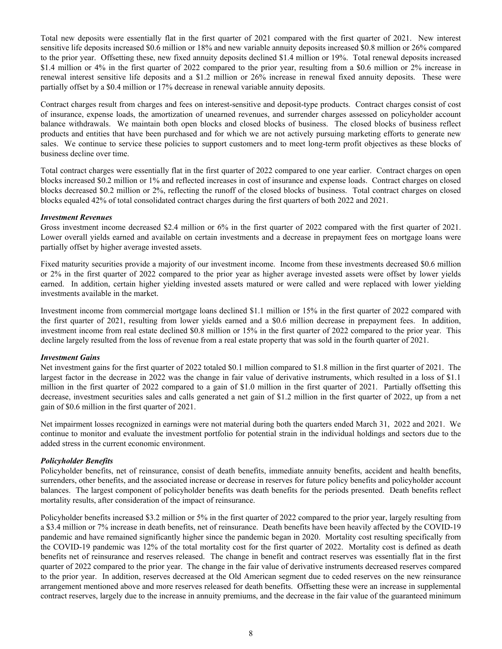Total new deposits were essentially flat in the first quarter of 2021 compared with the first quarter of 2021. New interest sensitive life deposits increased \$0.6 million or 18% and new variable annuity deposits increased \$0.8 million or 26% compared to the prior year. Offsetting these, new fixed annuity deposits declined \$1.4 million or 19%. Total renewal deposits increased \$1.4 million or 4% in the first quarter of 2022 compared to the prior year, resulting from a \$0.6 million or 2% increase in renewal interest sensitive life deposits and a \$1.2 million or 26% increase in renewal fixed annuity deposits. These were partially offset by a \$0.4 million or 17% decrease in renewal variable annuity deposits.

Contract charges result from charges and fees on interest-sensitive and deposit-type products. Contract charges consist of cost of insurance, expense loads, the amortization of unearned revenues, and surrender charges assessed on policyholder account balance withdrawals. We maintain both open blocks and closed blocks of business. The closed blocks of business reflect products and entities that have been purchased and for which we are not actively pursuing marketing efforts to generate new sales. We continue to service these policies to support customers and to meet long-term profit objectives as these blocks of business decline over time.

Total contract charges were essentially flat in the first quarter of 2022 compared to one year earlier. Contract charges on open blocks increased \$0.2 million or 1% and reflected increases in cost of insurance and expense loads. Contract charges on closed blocks decreased \$0.2 million or 2%, reflecting the runoff of the closed blocks of business. Total contract charges on closed blocks equaled 42% of total consolidated contract charges during the first quarters of both 2022 and 2021.

### *Investment Revenues*

Gross investment income decreased \$2.4 million or 6% in the first quarter of 2022 compared with the first quarter of 2021. Lower overall yields earned and available on certain investments and a decrease in prepayment fees on mortgage loans were partially offset by higher average invested assets.

Fixed maturity securities provide a majority of our investment income. Income from these investments decreased \$0.6 million or 2% in the first quarter of 2022 compared to the prior year as higher average invested assets were offset by lower yields earned. In addition, certain higher yielding invested assets matured or were called and were replaced with lower yielding investments available in the market.

Investment income from commercial mortgage loans declined \$1.1 million or 15% in the first quarter of 2022 compared with the first quarter of 2021, resulting from lower yields earned and a \$0.6 million decrease in prepayment fees. In addition, investment income from real estate declined \$0.8 million or 15% in the first quarter of 2022 compared to the prior year. This decline largely resulted from the loss of revenue from a real estate property that was sold in the fourth quarter of 2021.

#### *Investment Gains*

Net investment gains for the first quarter of 2022 totaled \$0.1 million compared to \$1.8 million in the first quarter of 2021. The largest factor in the decrease in 2022 was the change in fair value of derivative instruments, which resulted in a loss of \$1.1 million in the first quarter of 2022 compared to a gain of \$1.0 million in the first quarter of 2021. Partially offsetting this decrease, investment securities sales and calls generated a net gain of \$1.2 million in the first quarter of 2022, up from a net gain of \$0.6 million in the first quarter of 2021.

Net impairment losses recognized in earnings were not material during both the quarters ended March 31, 2022 and 2021. We continue to monitor and evaluate the investment portfolio for potential strain in the individual holdings and sectors due to the added stress in the current economic environment.

### *Policyholder Benefits*

Policyholder benefits, net of reinsurance, consist of death benefits, immediate annuity benefits, accident and health benefits, surrenders, other benefits, and the associated increase or decrease in reserves for future policy benefits and policyholder account balances. The largest component of policyholder benefits was death benefits for the periods presented. Death benefits reflect mortality results, after consideration of the impact of reinsurance.

Policyholder benefits increased \$3.2 million or 5% in the first quarter of 2022 compared to the prior year, largely resulting from a \$3.4 million or 7% increase in death benefits, net of reinsurance. Death benefits have been heavily affected by the COVID-19 pandemic and have remained significantly higher since the pandemic began in 2020. Mortality cost resulting specifically from the COVID-19 pandemic was 12% of the total mortality cost for the first quarter of 2022. Mortality cost is defined as death benefits net of reinsurance and reserves released. The change in benefit and contract reserves was essentially flat in the first quarter of 2022 compared to the prior year. The change in the fair value of derivative instruments decreased reserves compared to the prior year. In addition, reserves decreased at the Old American segment due to ceded reserves on the new reinsurance arrangement mentioned above and more reserves released for death benefits. Offsetting these were an increase in supplemental contract reserves, largely due to the increase in annuity premiums, and the decrease in the fair value of the guaranteed minimum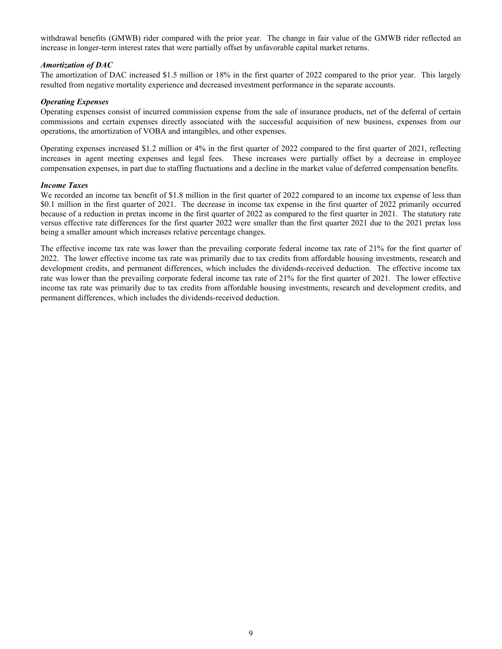withdrawal benefits (GMWB) rider compared with the prior year. The change in fair value of the GMWB rider reflected an increase in longer-term interest rates that were partially offset by unfavorable capital market returns.

### *Amortization of DAC*

The amortization of DAC increased \$1.5 million or 18% in the first quarter of 2022 compared to the prior year. This largely resulted from negative mortality experience and decreased investment performance in the separate accounts.

### *Operating Expenses*

Operating expenses consist of incurred commission expense from the sale of insurance products, net of the deferral of certain commissions and certain expenses directly associated with the successful acquisition of new business, expenses from our operations, the amortization of VOBA and intangibles, and other expenses.

Operating expenses increased \$1.2 million or 4% in the first quarter of 2022 compared to the first quarter of 2021, reflecting increases in agent meeting expenses and legal fees. These increases were partially offset by a decrease in employee compensation expenses, in part due to staffing fluctuations and a decline in the market value of deferred compensation benefits.

#### *Income Taxes*

We recorded an income tax benefit of \$1.8 million in the first quarter of 2022 compared to an income tax expense of less than \$0.1 million in the first quarter of 2021. The decrease in income tax expense in the first quarter of 2022 primarily occurred because of a reduction in pretax income in the first quarter of 2022 as compared to the first quarter in 2021. The statutory rate versus effective rate differences for the first quarter 2022 were smaller than the first quarter 2021 due to the 2021 pretax loss being a smaller amount which increases relative percentage changes.

The effective income tax rate was lower than the prevailing corporate federal income tax rate of 21% for the first quarter of 2022. The lower effective income tax rate was primarily due to tax credits from affordable housing investments, research and development credits, and permanent differences, which includes the dividends-received deduction. The effective income tax rate was lower than the prevailing corporate federal income tax rate of 21% for the first quarter of 2021. The lower effective income tax rate was primarily due to tax credits from affordable housing investments, research and development credits, and permanent differences, which includes the dividends-received deduction.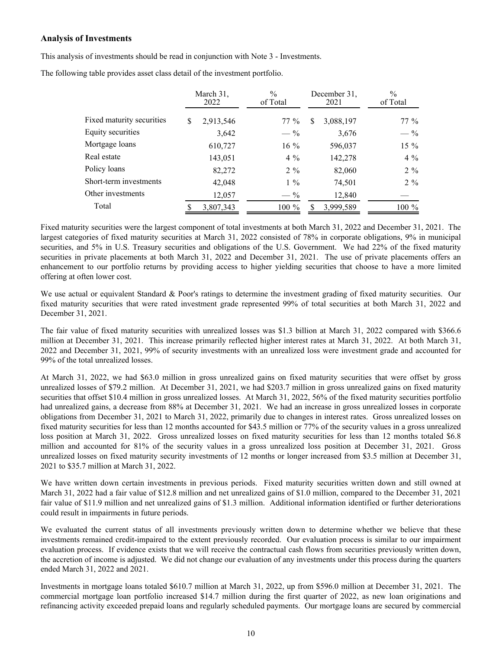### **Analysis of Investments**

This analysis of investments should be read in conjunction with Note 3 - Investments.

The following table provides asset class detail of the investment portfolio.

|                           | March 31,<br>2022 | $\%$<br>of Total |   | December 31,<br>2021 | $\frac{0}{0}$<br>of Total |
|---------------------------|-------------------|------------------|---|----------------------|---------------------------|
| Fixed maturity securities | \$<br>2,913,546   | $77\%$           | S | 3,088,197            | $77\%$                    |
| Equity securities         | 3,642             | $-$ %            |   | 3,676                | $-$ %                     |
| Mortgage loans            | 610,727           | $16\%$           |   | 596,037              | 15 %                      |
| Real estate               | 143,051           | $4\%$            |   | 142,278              | $4\%$                     |
| Policy loans              | 82,272            | $2\%$            |   | 82,060               | $2\%$                     |
| Short-term investments    | 42,048            | $1\%$            |   | 74,501               | $2\%$                     |
| Other investments         | 12,057            | $-$ %            |   | 12,840               |                           |
| Total                     | 3,807,343         | $100 \%$         |   | 3,999,589            | 100 %                     |

Fixed maturity securities were the largest component of total investments at both March 31, 2022 and December 31, 2021. The largest categories of fixed maturity securities at March 31, 2022 consisted of 78% in corporate obligations, 9% in municipal securities, and 5% in U.S. Treasury securities and obligations of the U.S. Government. We had 22% of the fixed maturity securities in private placements at both March 31, 2022 and December 31, 2021. The use of private placements offers an enhancement to our portfolio returns by providing access to higher yielding securities that choose to have a more limited offering at often lower cost.

We use actual or equivalent Standard & Poor's ratings to determine the investment grading of fixed maturity securities. Our fixed maturity securities that were rated investment grade represented 99% of total securities at both March 31, 2022 and December 31, 2021.

The fair value of fixed maturity securities with unrealized losses was \$1.3 billion at March 31, 2022 compared with \$366.6 million at December 31, 2021. This increase primarily reflected higher interest rates at March 31, 2022. At both March 31, 2022 and December 31, 2021, 99% of security investments with an unrealized loss were investment grade and accounted for 99% of the total unrealized losses.

At March 31, 2022, we had \$63.0 million in gross unrealized gains on fixed maturity securities that were offset by gross unrealized losses of \$79.2 million. At December 31, 2021, we had \$203.7 million in gross unrealized gains on fixed maturity securities that offset \$10.4 million in gross unrealized losses. At March 31, 2022, 56% of the fixed maturity securities portfolio had unrealized gains, a decrease from 88% at December 31, 2021. We had an increase in gross unrealized losses in corporate obligations from December 31, 2021 to March 31, 2022, primarily due to changes in interest rates. Gross unrealized losses on fixed maturity securities for less than 12 months accounted for \$43.5 million or 77% of the security values in a gross unrealized loss position at March 31, 2022. Gross unrealized losses on fixed maturity securities for less than 12 months totaled \$6.8 million and accounted for 81% of the security values in a gross unrealized loss position at December 31, 2021. Gross unrealized losses on fixed maturity security investments of 12 months or longer increased from \$3.5 million at December 31, 2021 to \$35.7 million at March 31, 2022.

We have written down certain investments in previous periods. Fixed maturity securities written down and still owned at March 31, 2022 had a fair value of \$12.8 million and net unrealized gains of \$1.0 million, compared to the December 31, 2021 fair value of \$11.9 million and net unrealized gains of \$1.3 million. Additional information identified or further deteriorations could result in impairments in future periods.

We evaluated the current status of all investments previously written down to determine whether we believe that these investments remained credit-impaired to the extent previously recorded. Our evaluation process is similar to our impairment evaluation process. If evidence exists that we will receive the contractual cash flows from securities previously written down, the accretion of income is adjusted. We did not change our evaluation of any investments under this process during the quarters ended March 31, 2022 and 2021.

Investments in mortgage loans totaled \$610.7 million at March 31, 2022, up from \$596.0 million at December 31, 2021. The commercial mortgage loan portfolio increased \$14.7 million during the first quarter of 2022, as new loan originations and refinancing activity exceeded prepaid loans and regularly scheduled payments. Our mortgage loans are secured by commercial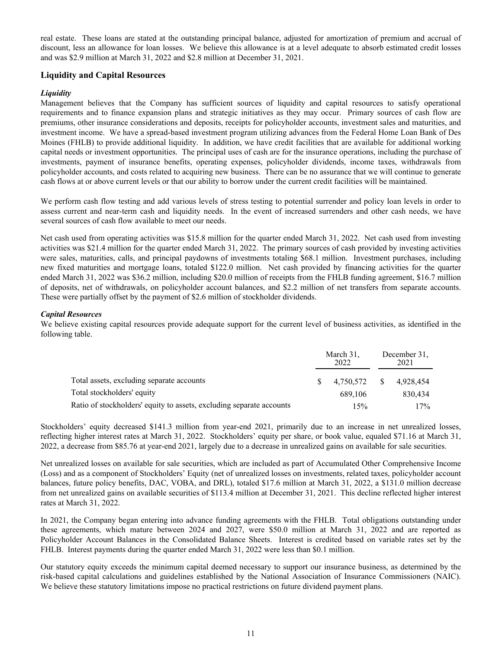real estate. These loans are stated at the outstanding principal balance, adjusted for amortization of premium and accrual of discount, less an allowance for loan losses. We believe this allowance is at a level adequate to absorb estimated credit losses and was \$2.9 million at March 31, 2022 and \$2.8 million at December 31, 2021.

## **Liquidity and Capital Resources**

## *Liquidity*

Management believes that the Company has sufficient sources of liquidity and capital resources to satisfy operational requirements and to finance expansion plans and strategic initiatives as they may occur. Primary sources of cash flow are premiums, other insurance considerations and deposits, receipts for policyholder accounts, investment sales and maturities, and investment income. We have a spread-based investment program utilizing advances from the Federal Home Loan Bank of Des Moines (FHLB) to provide additional liquidity. In addition, we have credit facilities that are available for additional working capital needs or investment opportunities. The principal uses of cash are for the insurance operations, including the purchase of investments, payment of insurance benefits, operating expenses, policyholder dividends, income taxes, withdrawals from policyholder accounts, and costs related to acquiring new business. There can be no assurance that we will continue to generate cash flows at or above current levels or that our ability to borrow under the current credit facilities will be maintained.

We perform cash flow testing and add various levels of stress testing to potential surrender and policy loan levels in order to assess current and near-term cash and liquidity needs. In the event of increased surrenders and other cash needs, we have several sources of cash flow available to meet our needs.

Net cash used from operating activities was \$15.8 million for the quarter ended March 31, 2022. Net cash used from investing activities was \$21.4 million for the quarter ended March 31, 2022. The primary sources of cash provided by investing activities were sales, maturities, calls, and principal paydowns of investments totaling \$68.1 million. Investment purchases, including new fixed maturities and mortgage loans, totaled \$122.0 million. Net cash provided by financing activities for the quarter ended March 31, 2022 was \$36.2 million, including \$20.0 million of receipts from the FHLB funding agreement, \$16.7 million of deposits, net of withdrawals, on policyholder account balances, and \$2.2 million of net transfers from separate accounts. These were partially offset by the payment of \$2.6 million of stockholder dividends.

### *Capital Resources*

We believe existing capital resources provide adequate support for the current level of business activities, as identified in the following table.

|                                                                      | March 31.<br>2022 |    | December 31.<br>2021 |
|----------------------------------------------------------------------|-------------------|----|----------------------|
| Total assets, excluding separate accounts                            | 4.750.572         | -S | 4.928.454            |
| Total stockholders' equity                                           | 689.106           |    | 830.434              |
| Ratio of stockholders' equity to assets, excluding separate accounts | 15%               |    | 17%                  |

Stockholders' equity decreased \$141.3 million from year-end 2021, primarily due to an increase in net unrealized losses, reflecting higher interest rates at March 31, 2022. Stockholders' equity per share, or book value, equaled \$71.16 at March 31, 2022, a decrease from \$85.76 at year-end 2021, largely due to a decrease in unrealized gains on available for sale securities.

Net unrealized losses on available for sale securities, which are included as part of Accumulated Other Comprehensive Income (Loss) and as a component of Stockholders' Equity (net of unrealized losses on investments, related taxes, policyholder account balances, future policy benefits, DAC, VOBA, and DRL), totaled \$17.6 million at March 31, 2022, a \$131.0 million decrease from net unrealized gains on available securities of \$113.4 million at December 31, 2021. This decline reflected higher interest rates at March 31, 2022.

In 2021, the Company began entering into advance funding agreements with the FHLB. Total obligations outstanding under these agreements, which mature between 2024 and 2027, were \$50.0 million at March 31, 2022 and are reported as Policyholder Account Balances in the Consolidated Balance Sheets. Interest is credited based on variable rates set by the FHLB. Interest payments during the quarter ended March 31, 2022 were less than \$0.1 million.

Our statutory equity exceeds the minimum capital deemed necessary to support our insurance business, as determined by the risk-based capital calculations and guidelines established by the National Association of Insurance Commissioners (NAIC). We believe these statutory limitations impose no practical restrictions on future dividend payment plans.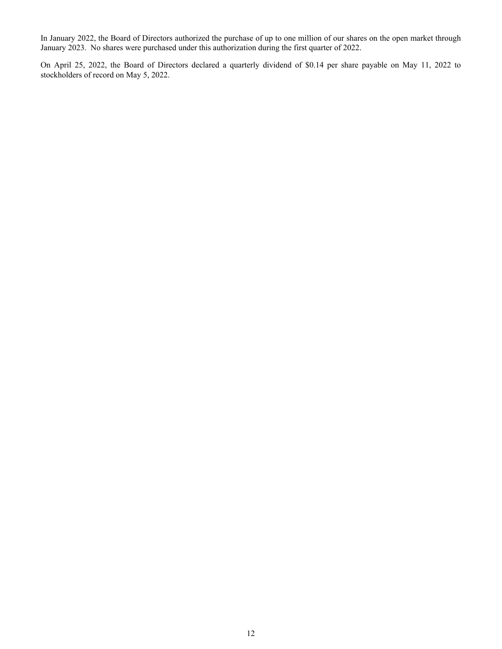In January 2022, the Board of Directors authorized the purchase of up to one million of our shares on the open market through January 2023. No shares were purchased under this authorization during the first quarter of 2022.

On April 25, 2022, the Board of Directors declared a quarterly dividend of \$0.14 per share payable on May 11, 2022 to stockholders of record on May 5, 2022.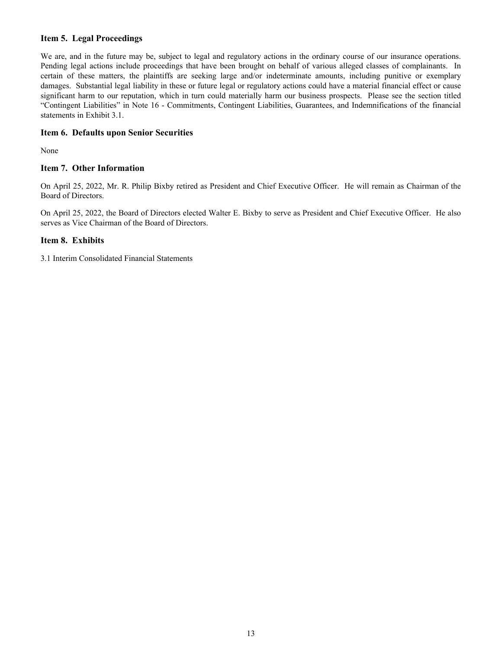## <span id="page-12-0"></span>**Item 5. Legal Proceedings**

We are, and in the future may be, subject to legal and regulatory actions in the ordinary course of our insurance operations. Pending legal actions include proceedings that have been brought on behalf of various alleged classes of complainants. In certain of these matters, the plaintiffs are seeking large and/or indeterminate amounts, including punitive or exemplary damages. Substantial legal liability in these or future legal or regulatory actions could have a material financial effect or cause significant harm to our reputation, which in turn could materially harm our business prospects. Please see the section titled "Contingent Liabilities" in Note 16 - Commitments, Contingent Liabilities, Guarantees, and Indemnifications of the financial statements in Exhibit 3.1.

### **Item 6. Defaults upon Senior Securities**

None

## **Item 7. Other Information**

On April 25, 2022, Mr. R. Philip Bixby retired as President and Chief Executive Officer. He will remain as Chairman of the Board of Directors.

On April 25, 2022, the Board of Directors elected Walter E. Bixby to serve as President and Chief Executive Officer. He also serves as Vice Chairman of the Board of Directors.

### **Item 8. Exhibits**

3.1 Interim Consolidated Financial Statements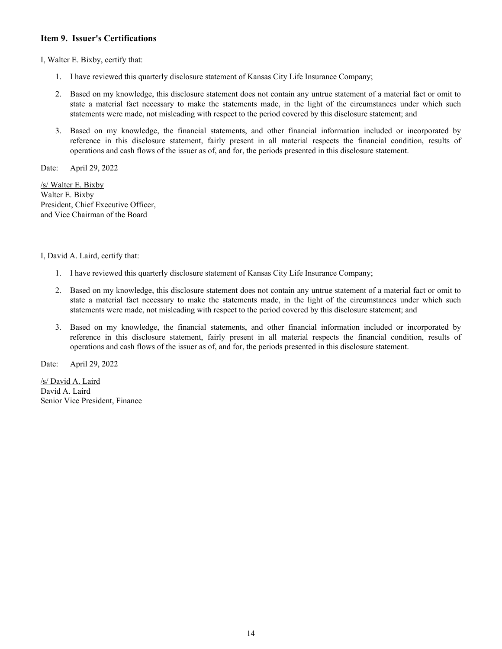## <span id="page-13-0"></span>**Item 9. Issuer's Certifications**

I, Walter E. Bixby, certify that:

- 1. I have reviewed this quarterly disclosure statement of Kansas City Life Insurance Company;
- 2. Based on my knowledge, this disclosure statement does not contain any untrue statement of a material fact or omit to state a material fact necessary to make the statements made, in the light of the circumstances under which such statements were made, not misleading with respect to the period covered by this disclosure statement; and
- 3. Based on my knowledge, the financial statements, and other financial information included or incorporated by reference in this disclosure statement, fairly present in all material respects the financial condition, results of operations and cash flows of the issuer as of, and for, the periods presented in this disclosure statement.

Date: April 29, 2022

/s/ Walter E. Bixby Walter E. Bixby President, Chief Executive Officer, and Vice Chairman of the Board

### I, David A. Laird, certify that:

- 1. I have reviewed this quarterly disclosure statement of Kansas City Life Insurance Company;
- 2. Based on my knowledge, this disclosure statement does not contain any untrue statement of a material fact or omit to state a material fact necessary to make the statements made, in the light of the circumstances under which such statements were made, not misleading with respect to the period covered by this disclosure statement; and
- 3. Based on my knowledge, the financial statements, and other financial information included or incorporated by reference in this disclosure statement, fairly present in all material respects the financial condition, results of operations and cash flows of the issuer as of, and for, the periods presented in this disclosure statement.

Date: April 29, 2022

/s/ David A. Laird David A. Laird Senior Vice President, Finance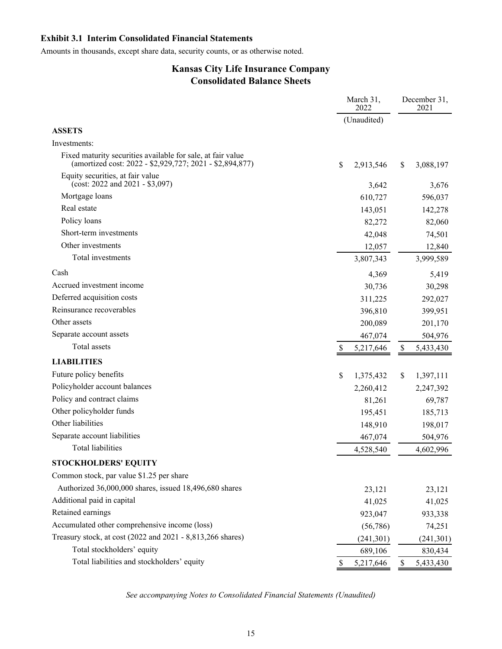## <span id="page-14-0"></span>**Exhibit 3.1 Interim Consolidated Financial Statements**

Amounts in thousands, except share data, security counts, or as otherwise noted.

# **Kansas City Life Insurance Company Consolidated Balance Sheets**

|                                                                                                                         | March 31,<br>2022 | December 31,<br>2021 |
|-------------------------------------------------------------------------------------------------------------------------|-------------------|----------------------|
|                                                                                                                         | (Unaudited)       |                      |
| <b>ASSETS</b>                                                                                                           |                   |                      |
| Investments:                                                                                                            |                   |                      |
| Fixed maturity securities available for sale, at fair value<br>(amortized cost: 2022 - \$2,929,727; 2021 - \$2,894,877) | \$<br>2,913,546   | \$<br>3,088,197      |
| Equity securities, at fair value<br>(cost: 2022 and 2021 - \$3,097)                                                     | 3,642             | 3,676                |
| Mortgage loans                                                                                                          | 610,727           | 596,037              |
| Real estate                                                                                                             | 143,051           | 142,278              |
| Policy loans                                                                                                            | 82,272            | 82,060               |
| Short-term investments                                                                                                  | 42,048            | 74,501               |
| Other investments                                                                                                       | 12,057            | 12,840               |
| Total investments                                                                                                       | 3,807,343         | 3,999,589            |
| Cash                                                                                                                    | 4,369             | 5,419                |
| Accrued investment income                                                                                               | 30,736            | 30,298               |
| Deferred acquisition costs                                                                                              | 311,225           | 292,027              |
| Reinsurance recoverables                                                                                                | 396,810           | 399,951              |
| Other assets                                                                                                            | 200,089           | 201,170              |
| Separate account assets                                                                                                 | 467,074           | 504,976              |
| Total assets                                                                                                            | \$<br>5,217,646   | \$<br>5,433,430      |
| <b>LIABILITIES</b>                                                                                                      |                   |                      |
| Future policy benefits                                                                                                  | \$<br>1,375,432   | \$<br>1,397,111      |
| Policyholder account balances                                                                                           | 2,260,412         | 2,247,392            |
| Policy and contract claims                                                                                              | 81,261            | 69,787               |
| Other policyholder funds                                                                                                | 195,451           | 185,713              |
| Other liabilities                                                                                                       | 148,910           | 198,017              |
| Separate account liabilities                                                                                            | 467,074           | 504,976              |
| <b>Total liabilities</b>                                                                                                | 4,528,540         | 4,602,996            |
| <b>STOCKHOLDERS' EQUITY</b>                                                                                             |                   |                      |
| Common stock, par value \$1.25 per share                                                                                |                   |                      |
| Authorized 36,000,000 shares, issued 18,496,680 shares                                                                  | 23,121            | 23,121               |
| Additional paid in capital                                                                                              | 41,025            | 41,025               |
| Retained earnings                                                                                                       | 923,047           | 933,338              |
| Accumulated other comprehensive income (loss)                                                                           | (56,786)          | 74,251               |
| Treasury stock, at cost (2022 and 2021 - 8,813,266 shares)                                                              | (241, 301)        | (241, 301)           |
| Total stockholders' equity                                                                                              | 689,106           | 830,434              |
| Total liabilities and stockholders' equity                                                                              | 5,217,646         | 5,433,430<br>\$      |

*See accompanying Notes to Consolidated Financial Statements (Unaudited)*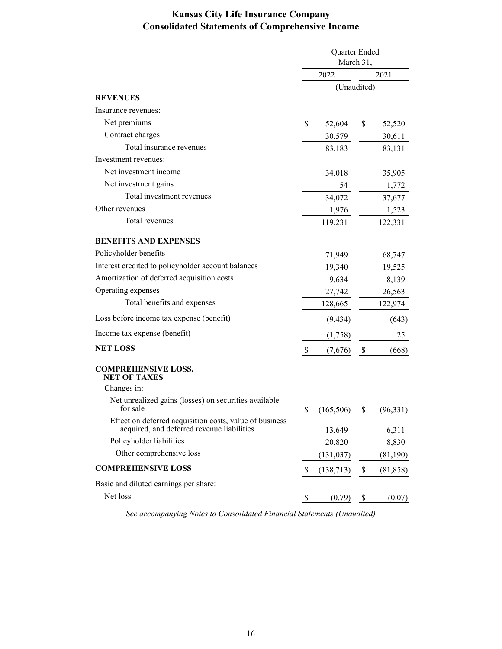# **Kansas City Life Insurance Company Consolidated Statements of Comprehensive Income**

<span id="page-15-0"></span>

|                                                                                                       | Quarter Ended |             |               |           |  |
|-------------------------------------------------------------------------------------------------------|---------------|-------------|---------------|-----------|--|
|                                                                                                       |               | March 31,   |               |           |  |
|                                                                                                       | 2022          |             | 2021          |           |  |
|                                                                                                       |               | (Unaudited) |               |           |  |
| <b>REVENUES</b>                                                                                       |               |             |               |           |  |
| Insurance revenues:                                                                                   |               |             |               |           |  |
| Net premiums                                                                                          | \$            | 52,604      | \$            | 52,520    |  |
| Contract charges                                                                                      |               | 30,579      |               | 30,611    |  |
| Total insurance revenues                                                                              |               | 83,183      |               | 83,131    |  |
| Investment revenues:                                                                                  |               |             |               |           |  |
| Net investment income                                                                                 |               | 34,018      |               | 35,905    |  |
| Net investment gains                                                                                  |               | 54          |               | 1,772     |  |
| Total investment revenues                                                                             |               | 34,072      |               | 37,677    |  |
| Other revenues                                                                                        |               | 1,976       |               | 1,523     |  |
| Total revenues                                                                                        |               | 119,231     |               | 122,331   |  |
| <b>BENEFITS AND EXPENSES</b>                                                                          |               |             |               |           |  |
| Policyholder benefits                                                                                 |               | 71,949      |               | 68,747    |  |
| Interest credited to policyholder account balances                                                    |               | 19,340      |               | 19,525    |  |
| Amortization of deferred acquisition costs                                                            |               | 9,634       |               | 8,139     |  |
| Operating expenses                                                                                    |               | 27,742      |               | 26,563    |  |
| Total benefits and expenses                                                                           |               | 128,665     |               | 122,974   |  |
| Loss before income tax expense (benefit)                                                              |               | (9, 434)    |               | (643)     |  |
| Income tax expense (benefit)                                                                          |               | (1,758)     |               | 25        |  |
| <b>NET LOSS</b>                                                                                       | \$            | (7,676)     | \$            | (668)     |  |
| <b>COMPREHENSIVE LOSS,</b><br><b>NET OF TAXES</b>                                                     |               |             |               |           |  |
| Changes in:                                                                                           |               |             |               |           |  |
| Net unrealized gains (losses) on securities available<br>for sale                                     | \$            | (165, 506)  | \$            | (96, 331) |  |
| Effect on deferred acquisition costs, value of business<br>acquired, and deferred revenue liabilities |               | 13,649      |               | 6,311     |  |
| Policyholder liabilities                                                                              |               | 20,820      |               | 8,830     |  |
| Other comprehensive loss                                                                              |               | (131, 037)  |               | (81, 190) |  |
| <b>COMPREHENSIVE LOSS</b>                                                                             | \$            | (138, 713)  | \$            | (81, 858) |  |
| Basic and diluted earnings per share:                                                                 |               |             |               |           |  |
| Net loss                                                                                              |               | (0.79)      | $\mathcal{P}$ | (0.07)    |  |

*See accompanying Notes to Consolidated Financial Statements (Unaudited)*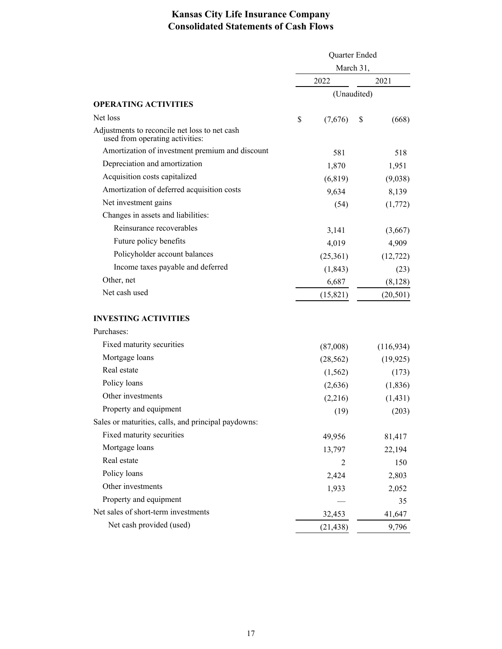## **Kansas City Life Insurance Company Consolidated Statements of Cash Flows**

<span id="page-16-0"></span>

|                                                                                  | Quarter Ended |           |    |            |
|----------------------------------------------------------------------------------|---------------|-----------|----|------------|
|                                                                                  |               | March 31, |    |            |
|                                                                                  |               | 2022      |    | 2021       |
|                                                                                  | (Unaudited)   |           |    |            |
| <b>OPERATING ACTIVITIES</b>                                                      |               |           |    |            |
| Net loss                                                                         | \$            | (7,676)   | \$ | (668)      |
| Adjustments to reconcile net loss to net cash<br>used from operating activities: |               |           |    |            |
| Amortization of investment premium and discount                                  |               | 581       |    | 518        |
| Depreciation and amortization                                                    |               | 1,870     |    | 1,951      |
| Acquisition costs capitalized                                                    |               | (6, 819)  |    | (9,038)    |
| Amortization of deferred acquisition costs                                       |               | 9,634     |    | 8,139      |
| Net investment gains                                                             |               | (54)      |    | (1,772)    |
| Changes in assets and liabilities:                                               |               |           |    |            |
| Reinsurance recoverables                                                         |               | 3,141     |    | (3,667)    |
| Future policy benefits                                                           |               | 4,019     |    | 4,909      |
| Policyholder account balances                                                    |               | (25,361)  |    | (12, 722)  |
| Income taxes payable and deferred                                                |               | (1, 843)  |    | (23)       |
| Other, net                                                                       |               | 6,687     |    | (8,128)    |
| Net cash used                                                                    |               | (15, 821) |    | (20, 501)  |
| <b>INVESTING ACTIVITIES</b>                                                      |               |           |    |            |
| Purchases:                                                                       |               |           |    |            |
| Fixed maturity securities                                                        |               | (87,008)  |    | (116, 934) |
| Mortgage loans                                                                   |               | (28, 562) |    | (19, 925)  |
| Real estate                                                                      |               | (1, 562)  |    | (173)      |
| Policy loans                                                                     |               | (2,636)   |    | (1, 836)   |
| Other investments                                                                |               | (2,216)   |    | (1, 431)   |
| Property and equipment                                                           |               | (19)      |    | (203)      |
| Sales or maturities, calls, and principal paydowns:                              |               |           |    |            |
| Fixed maturity securities                                                        |               | 49,956    |    | 81,417     |
| Mortgage loans                                                                   |               | 13,797    |    | 22,194     |
| Real estate                                                                      |               | 2         |    | 150        |
| Policy loans                                                                     |               | 2,424     |    | 2,803      |
| Other investments                                                                |               | 1,933     |    | 2,052      |
| Property and equipment                                                           |               |           |    | 35         |
| Net sales of short-term investments                                              |               | 32,453    |    | 41,647     |
| Net cash provided (used)                                                         |               | (21, 438) |    | 9,796      |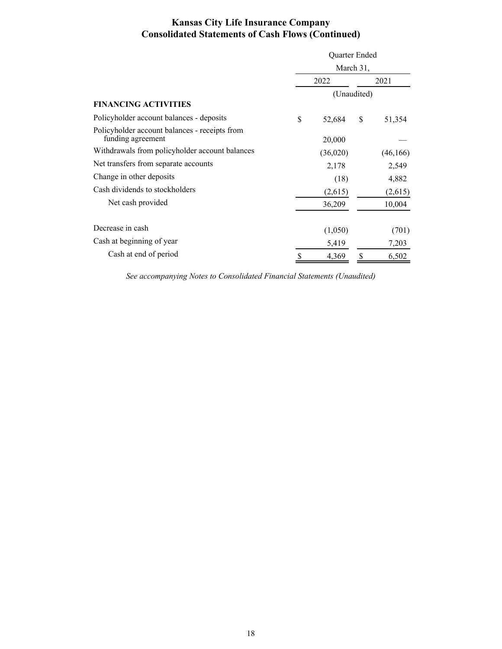# **Kansas City Life Insurance Company Consolidated Statements of Cash Flows (Continued)**

|                                                                    | Quarter Ended |    |           |  |  |  |
|--------------------------------------------------------------------|---------------|----|-----------|--|--|--|
|                                                                    | March 31,     |    |           |  |  |  |
|                                                                    | 2022<br>2021  |    |           |  |  |  |
|                                                                    | (Unaudited)   |    |           |  |  |  |
| <b>FINANCING ACTIVITIES</b>                                        |               |    |           |  |  |  |
| Policyholder account balances - deposits                           | \$<br>52,684  | \$ | 51,354    |  |  |  |
| Policyholder account balances - receipts from<br>funding agreement | 20,000        |    |           |  |  |  |
| Withdrawals from policyholder account balances                     | (36,020)      |    | (46, 166) |  |  |  |
| Net transfers from separate accounts                               | 2,178         |    | 2,549     |  |  |  |
| Change in other deposits                                           | (18)          |    | 4,882     |  |  |  |
| Cash dividends to stockholders                                     | (2,615)       |    | (2,615)   |  |  |  |
| Net cash provided                                                  | 36,209        |    | 10,004    |  |  |  |
| Decrease in cash                                                   | (1,050)       |    | (701)     |  |  |  |
| Cash at beginning of year                                          | 5,419         |    | 7,203     |  |  |  |
| Cash at end of period                                              | \$<br>4,369   | \$ | 6,502     |  |  |  |

*See accompanying Notes to Consolidated Financial Statements (Unaudited)*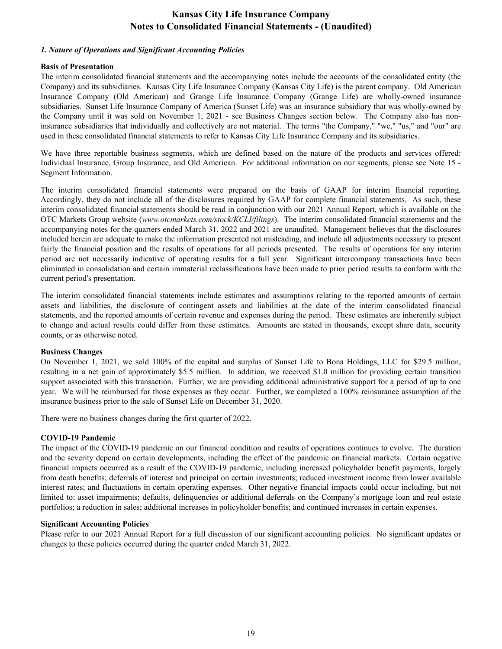## <span id="page-18-0"></span>*1. Nature of Operations and Significant Accounting Policies*

## **Basis of Presentation**

The interim consolidated financial statements and the accompanying notes include the accounts of the consolidated entity (the Company) and its subsidiaries. Kansas City Life Insurance Company (Kansas City Life) is the parent company. Old American Insurance Company (Old American) and Grange Life Insurance Company (Grange Life) are wholly-owned insurance subsidiaries. Sunset Life Insurance Company of America (Sunset Life) was an insurance subsidiary that was wholly-owned by the Company until it was sold on November 1, 2021 - see Business Changes section below. The Company also has noninsurance subsidiaries that individually and collectively are not material. The terms "the Company," "we," "us," and "our" are used in these consolidated financial statements to refer to Kansas City Life Insurance Company and its subsidiaries.

We have three reportable business segments, which are defined based on the nature of the products and services offered: Individual Insurance, Group Insurance, and Old American. For additional information on our segments, please see Note 15 - Segment Information.

The interim consolidated financial statements were prepared on the basis of GAAP for interim financial reporting. Accordingly, they do not include all of the disclosures required by GAAP for complete financial statements. As such, these interim consolidated financial statements should be read in conjunction with our 2021 Annual Report, which is available on the OTC Markets Group website (*www.otcmarkets.com/stock/KCLI/filings*). The interim consolidated financial statements and the accompanying notes for the quarters ended March 31, 2022 and 2021 are unaudited. Management believes that the disclosures included herein are adequate to make the information presented not misleading, and include all adjustments necessary to present fairly the financial position and the results of operations for all periods presented. The results of operations for any interim period are not necessarily indicative of operating results for a full year. Significant intercompany transactions have been eliminated in consolidation and certain immaterial reclassifications have been made to prior period results to conform with the current period's presentation.

The interim consolidated financial statements include estimates and assumptions relating to the reported amounts of certain assets and liabilities, the disclosure of contingent assets and liabilities at the date of the interim consolidated financial statements, and the reported amounts of certain revenue and expenses during the period. These estimates are inherently subject to change and actual results could differ from these estimates. Amounts are stated in thousands, except share data, security counts, or as otherwise noted.

### **Business Changes**

On November 1, 2021, we sold 100% of the capital and surplus of Sunset Life to Bona Holdings, LLC for \$29.5 million, resulting in a net gain of approximately \$5.5 million. In addition, we received \$1.0 million for providing certain transition support associated with this transaction. Further, we are providing additional administrative support for a period of up to one year. We will be reimbursed for those expenses as they occur. Further, we completed a 100% reinsurance assumption of the insurance business prior to the sale of Sunset Life on December 31, 2020.

There were no business changes during the first quarter of 2022.

## **COVID-19 Pandemic**

The impact of the COVID-19 pandemic on our financial condition and results of operations continues to evolve. The duration and the severity depend on certain developments, including the effect of the pandemic on financial markets. Certain negative financial impacts occurred as a result of the COVID-19 pandemic, including increased policyholder benefit payments, largely from death benefits; deferrals of interest and principal on certain investments; reduced investment income from lower available interest rates; and fluctuations in certain operating expenses. Other negative financial impacts could occur including, but not limited to: asset impairments; defaults, delinquencies or additional deferrals on the Company's mortgage loan and real estate portfolios; a reduction in sales; additional increases in policyholder benefits; and continued increases in certain expenses.

### **Significant Accounting Policies**

Please refer to our 2021 Annual Report for a full discussion of our significant accounting policies. No significant updates or changes to these policies occurred during the quarter ended March 31, 2022.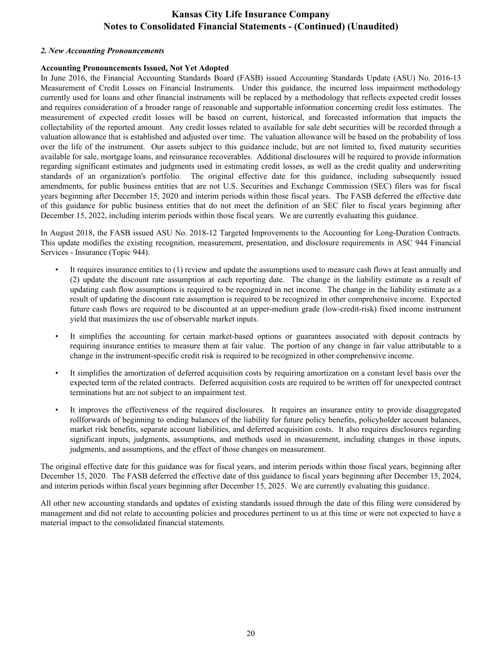### *2. New Accounting Pronouncements*

## **Accounting Pronouncements Issued, Not Yet Adopted**

In June 2016, the Financial Accounting Standards Board (FASB) issued Accounting Standards Update (ASU) No. 2016-13 Measurement of Credit Losses on Financial Instruments. Under this guidance, the incurred loss impairment methodology currently used for loans and other financial instruments will be replaced by a methodology that reflects expected credit losses and requires consideration of a broader range of reasonable and supportable information concerning credit loss estimates. The measurement of expected credit losses will be based on current, historical, and forecasted information that impacts the collectability of the reported amount. Any credit losses related to available for sale debt securities will be recorded through a valuation allowance that is established and adjusted over time. The valuation allowance will be based on the probability of loss over the life of the instrument. Our assets subject to this guidance include, but are not limited to, fixed maturity securities available for sale, mortgage loans, and reinsurance recoverables. Additional disclosures will be required to provide information regarding significant estimates and judgments used in estimating credit losses, as well as the credit quality and underwriting standards of an organization's portfolio. The original effective date for this guidance, including subsequently issued amendments, for public business entities that are not U.S. Securities and Exchange Commission (SEC) filers was for fiscal years beginning after December 15, 2020 and interim periods within those fiscal years. The FASB deferred the effective date of this guidance for public business entities that do not meet the definition of an SEC filer to fiscal years beginning after December 15, 2022, including interim periods within those fiscal years. We are currently evaluating this guidance.

In August 2018, the FASB issued ASU No. 2018-12 Targeted Improvements to the Accounting for Long-Duration Contracts. This update modifies the existing recognition, measurement, presentation, and disclosure requirements in ASC 944 Financial Services - Insurance (Topic 944).

- It requires insurance entities to (1) review and update the assumptions used to measure cash flows at least annually and (2) update the discount rate assumption at each reporting date. The change in the liability estimate as a result of updating cash flow assumptions is required to be recognized in net income. The change in the liability estimate as a result of updating the discount rate assumption is required to be recognized in other comprehensive income. Expected future cash flows are required to be discounted at an upper-medium grade (low-credit-risk) fixed income instrument yield that maximizes the use of observable market inputs.
- It simplifies the accounting for certain market-based options or guarantees associated with deposit contracts by requiring insurance entities to measure them at fair value. The portion of any change in fair value attributable to a change in the instrument-specific credit risk is required to be recognized in other comprehensive income.
- It simplifies the amortization of deferred acquisition costs by requiring amortization on a constant level basis over the expected term of the related contracts. Deferred acquisition costs are required to be written off for unexpected contract terminations but are not subject to an impairment test.
- It improves the effectiveness of the required disclosures. It requires an insurance entity to provide disaggregated rollforwards of beginning to ending balances of the liability for future policy benefits, policyholder account balances, market risk benefits, separate account liabilities, and deferred acquisition costs. It also requires disclosures regarding significant inputs, judgments, assumptions, and methods used in measurement, including changes in those inputs, judgments, and assumptions, and the effect of those changes on measurement.

The original effective date for this guidance was for fiscal years, and interim periods within those fiscal years, beginning after December 15, 2020. The FASB deferred the effective date of this guidance to fiscal years beginning after December 15, 2024, and interim periods within fiscal years beginning after December 15, 2025. We are currently evaluating this guidance.

All other new accounting standards and updates of existing standards issued through the date of this filing were considered by management and did not relate to accounting policies and procedures pertinent to us at this time or were not expected to have a material impact to the consolidated financial statements.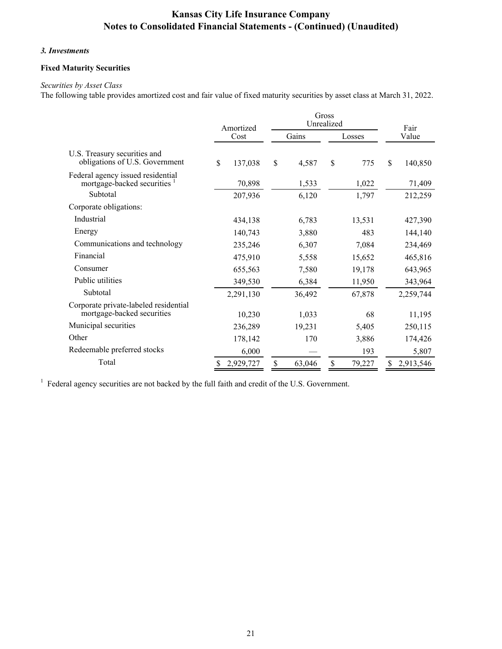### *3. Investments*

## **Fixed Maturity Securities**

## *Securities by Asset Class*

The following table provides amortized cost and fair value of fixed maturity securities by asset class at March 31, 2022.

|                                                                     | Amortized     | Gross<br>Unrealized | Fair         |                          |  |
|---------------------------------------------------------------------|---------------|---------------------|--------------|--------------------------|--|
|                                                                     | Cost          | Gains               | Losses       | Value                    |  |
| U.S. Treasury securities and<br>obligations of U.S. Government      | \$<br>137,038 | \$<br>4,587         | \$<br>775    | $\mathsf{\$}$<br>140,850 |  |
| Federal agency issued residential<br>mortgage-backed securities     | 70,898        | 1,533               | 1,022        | 71,409                   |  |
| Subtotal                                                            | 207,936       | 6,120               | 1,797        | 212,259                  |  |
| Corporate obligations:                                              |               |                     |              |                          |  |
| Industrial                                                          | 434,138       | 6,783               | 13,531       | 427,390                  |  |
| Energy                                                              | 140,743       | 3,880               | 483          | 144,140                  |  |
| Communications and technology                                       | 235,246       | 6,307               | 7,084        | 234,469                  |  |
| Financial                                                           | 475,910       | 5,558               | 15,652       | 465,816                  |  |
| Consumer                                                            | 655,563       | 7,580               | 19,178       | 643,965                  |  |
| Public utilities                                                    | 349,530       | 6,384               | 11,950       | 343,964                  |  |
| Subtotal                                                            | 2,291,130     | 36,492              | 67,878       | 2,259,744                |  |
| Corporate private-labeled residential<br>mortgage-backed securities | 10,230        | 1,033               | 68           | 11,195                   |  |
| Municipal securities                                                | 236,289       | 19,231              | 5,405        | 250,115                  |  |
| Other                                                               | 178,142       | 170                 | 3,886        | 174,426                  |  |
| Redeemable preferred stocks                                         | 6,000         |                     | 193          | 5,807                    |  |
| Total                                                               | 2,929,727     | \$<br>63,046        | \$<br>79,227 | 2,913,546                |  |

<sup>1</sup> Federal agency securities are not backed by the full faith and credit of the U.S. Government.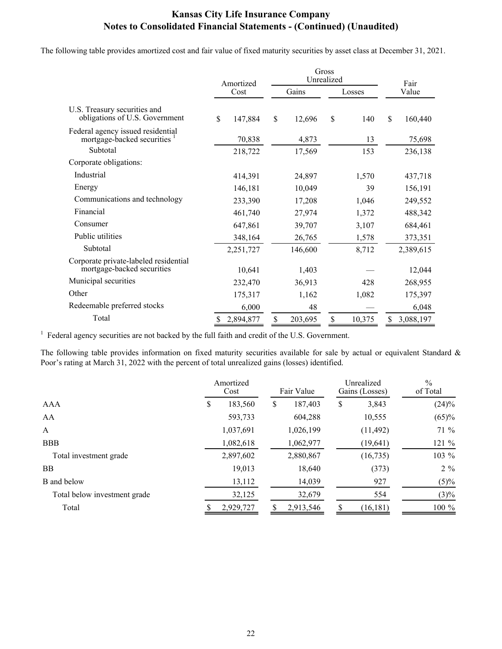The following table provides amortized cost and fair value of fixed maturity securities by asset class at December 31, 2021.

|                                                                     | Amortized     | Gross<br>Unrealized | Fair                      |               |  |
|---------------------------------------------------------------------|---------------|---------------------|---------------------------|---------------|--|
|                                                                     | Cost          | Gains               | Losses                    | Value         |  |
| U.S. Treasury securities and<br>obligations of U.S. Government      | \$<br>147,884 | \$<br>12,696        | $\mathbf{\hat{S}}$<br>140 | \$<br>160,440 |  |
| Federal agency issued residential<br>mortgage-backed securities     | 70,838        | 4,873               | 13                        | 75,698        |  |
| Subtotal                                                            | 218,722       | 17,569              | 153                       | 236,138       |  |
| Corporate obligations:                                              |               |                     |                           |               |  |
| Industrial                                                          | 414,391       | 24,897              | 1,570                     | 437,718       |  |
| Energy                                                              | 146,181       | 10,049              | 39                        | 156,191       |  |
| Communications and technology                                       | 233,390       | 17,208              | 1,046                     | 249,552       |  |
| Financial                                                           | 461,740       | 27,974              | 1,372                     | 488,342       |  |
| Consumer                                                            | 647,861       | 39,707              | 3,107                     | 684,461       |  |
| Public utilities                                                    | 348,164       | 26,765              | 1,578                     | 373,351       |  |
| Subtotal                                                            | 2,251,727     | 146,600             | 8,712                     | 2,389,615     |  |
| Corporate private-labeled residential<br>mortgage-backed securities | 10,641        | 1,403               |                           | 12,044        |  |
| Municipal securities                                                | 232,470       | 36,913              | 428                       | 268,955       |  |
| Other                                                               |               |                     |                           |               |  |
|                                                                     | 175,317       | 1,162               | 1,082                     | 175,397       |  |
| Redeemable preferred stocks                                         | 6,000         | 48                  |                           | 6,048         |  |
| Total                                                               | 2,894,877     | \$<br>203,695       | \$<br>10,375              | 3,088,197     |  |

<sup>1</sup> Federal agency securities are not backed by the full faith and credit of the U.S. Government.

The following table provides information on fixed maturity securities available for sale by actual or equivalent Standard & Poor's rating at March 31, 2022 with the percent of total unrealized gains (losses) identified.

|                              |   | Amortized<br>Cost |   | Fair Value |    | Unrealized<br>Gains (Losses) | $\frac{0}{0}$<br>of Total |  |
|------------------------------|---|-------------------|---|------------|----|------------------------------|---------------------------|--|
| AAA                          | S | 183,560           | S | 187,403    | \$ | 3,843                        | $(24)\%$                  |  |
| AA                           |   | 593,733           |   | 604,288    |    | 10,555                       | (65)%                     |  |
| A                            |   | 1,037,691         |   | 1,026,199  |    | (11, 492)                    | $71\%$                    |  |
| <b>BBB</b>                   |   | 1,082,618         |   | 1,062,977  |    | (19, 641)                    | $121 \%$                  |  |
| Total investment grade       |   | 2,897,602         |   | 2,880,867  |    | (16, 735)                    | 103 %                     |  |
| <b>BB</b>                    |   | 19,013            |   | 18,640     |    | (373)                        | $2\%$                     |  |
| <b>B</b> and below           |   | 13,112            |   | 14,039     |    | 927                          | $(5)\%$                   |  |
| Total below investment grade |   | 32,125            |   | 32,679     |    | 554                          | $(3)\%$                   |  |
| Total                        |   | 2,929,727         |   | 2,913,546  |    | (16, 181)                    | 100 %                     |  |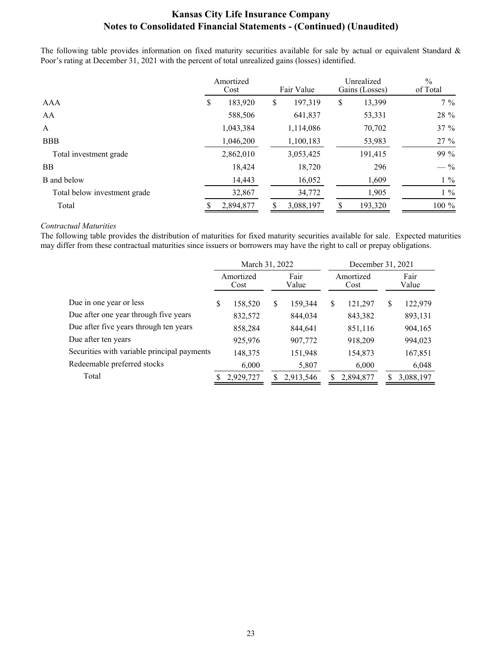The following table provides information on fixed maturity securities available for sale by actual or equivalent Standard & Poor's rating at December 31, 2021 with the percent of total unrealized gains (losses) identified.

|                              |   | Amortized<br>Cost |    | Fair Value |    | Unrealized<br>Gains (Losses) | $\frac{0}{0}$<br>of Total |
|------------------------------|---|-------------------|----|------------|----|------------------------------|---------------------------|
| AAA                          | S | 183,920           | \$ | 197,319    | \$ | 13,399                       | $7\%$                     |
| AA                           |   | 588,506           |    | 641,837    |    | 53,331                       | 28 %                      |
| $\mathbf{A}$                 |   | 1,043,384         |    | 1,114,086  |    | 70,702                       | $37 \%$                   |
| <b>BBB</b>                   |   | 1,046,200         |    | 1,100,183  |    | 53,983                       | $27 \%$                   |
| Total investment grade       |   | 2,862,010         |    | 3,053,425  |    | 191,415                      | 99 %                      |
| <b>BB</b>                    |   | 18,424            |    | 18,720     |    | 296                          | $-$ %                     |
| B and below                  |   | 14,443            |    | 16,052     |    | 1,609                        | $1\%$                     |
| Total below investment grade |   | 32,867            |    | 34,772     |    | 1,905                        | $1\%$                     |
| Total                        |   | 2,894,877         |    | 3,088,197  |    | 193,320                      | $100 \%$                  |

### *Contractual Maturities*

The following table provides the distribution of maturities for fixed maturity securities available for sale. Expected maturities may differ from these contractual maturities since issuers or borrowers may have the right to call or prepay obligations.

|                                             | March 31, 2022 |                   |    |               |    | December 31, 2021 |   |               |  |
|---------------------------------------------|----------------|-------------------|----|---------------|----|-------------------|---|---------------|--|
|                                             |                | Amortized<br>Cost |    | Fair<br>Value |    | Amortized<br>Cost |   | Fair<br>Value |  |
| Due in one year or less                     | S              | 158,520           | \$ | 159,344       | \$ | 121,297           | S | 122,979       |  |
| Due after one year through five years       |                | 832,572           |    | 844,034       |    | 843,382           |   | 893,131       |  |
| Due after five years through ten years      |                | 858,284           |    | 844,641       |    | 851,116           |   | 904,165       |  |
| Due after ten years                         |                | 925,976           |    | 907,772       |    | 918,209           |   | 994,023       |  |
| Securities with variable principal payments |                | 148,375           |    | 151,948       |    | 154,873           |   | 167,851       |  |
| Redeemable preferred stocks                 |                | 6,000             |    | 5,807         |    | 6,000             |   | 6,048         |  |
| Total                                       |                | 2,929,727         | S  | 2,913,546     |    | 2,894,877         |   | 3,088,197     |  |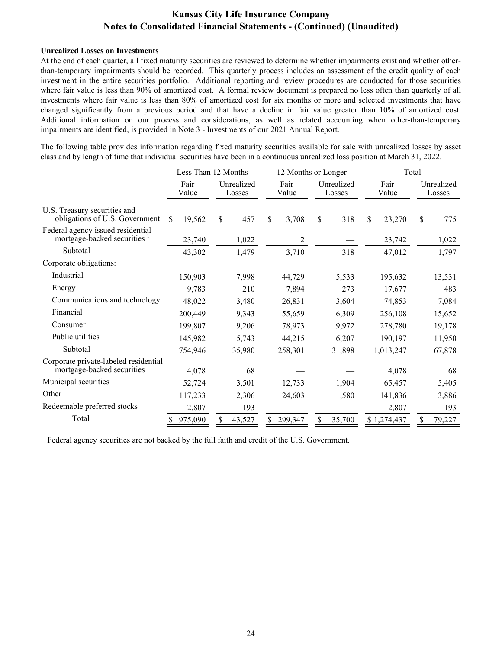### **Unrealized Losses on Investments**

At the end of each quarter, all fixed maturity securities are reviewed to determine whether impairments exist and whether otherthan-temporary impairments should be recorded. This quarterly process includes an assessment of the credit quality of each investment in the entire securities portfolio. Additional reporting and review procedures are conducted for those securities where fair value is less than 90% of amortized cost. A formal review document is prepared no less often than quarterly of all investments where fair value is less than 80% of amortized cost for six months or more and selected investments that have changed significantly from a previous period and that have a decline in fair value greater than 10% of amortized cost. Additional information on our process and considerations, as well as related accounting when other-than-temporary impairments are identified, is provided in Note 3 - Investments of our 2021 Annual Report.

The following table provides information regarding fixed maturity securities available for sale with unrealized losses by asset class and by length of time that individual securities have been in a continuous unrealized loss position at March 31, 2022.

|                                                                     |               | Less Than 12 Months  |               | 12 Months or Longer  | Total         |                      |  |  |
|---------------------------------------------------------------------|---------------|----------------------|---------------|----------------------|---------------|----------------------|--|--|
|                                                                     | Fair<br>Value | Unrealized<br>Losses | Fair<br>Value | Unrealized<br>Losses | Fair<br>Value | Unrealized<br>Losses |  |  |
| U.S. Treasury securities and<br>obligations of U.S. Government      | \$<br>19,562  | \$<br>457            | 3,708<br>\$.  | \$<br>318            | \$<br>23,270  | \$<br>775            |  |  |
| Federal agency issued residential<br>mortgage-backed securities     | 23,740        | 1,022                | 2             |                      | 23,742        | 1,022                |  |  |
| Subtotal                                                            | 43,302        | 1,479                | 3,710         | 318                  | 47,012        | 1,797                |  |  |
| Corporate obligations:                                              |               |                      |               |                      |               |                      |  |  |
| Industrial                                                          | 150,903       | 7,998                | 44,729        | 5,533                | 195,632       | 13,531               |  |  |
| Energy                                                              | 9,783         | 210                  | 7,894         | 273                  | 17,677        | 483                  |  |  |
| Communications and technology                                       | 48,022        | 3,480                | 26,831        | 3,604                | 74,853        | 7,084                |  |  |
| Financial                                                           | 200,449       | 9,343                | 55,659        | 6,309                | 256,108       | 15,652               |  |  |
| Consumer                                                            | 199,807       | 9,206                | 78,973        | 9,972                | 278,780       | 19,178               |  |  |
| Public utilities                                                    | 145,982       | 5,743                | 44,215        | 6,207                | 190,197       | 11,950               |  |  |
| Subtotal                                                            | 754,946       | 35,980               | 258,301       | 31,898               | 1,013,247     | 67,878               |  |  |
| Corporate private-labeled residential<br>mortgage-backed securities | 4,078         | 68                   |               |                      | 4,078         | 68                   |  |  |
| Municipal securities                                                | 52,724        | 3,501                | 12,733        | 1,904                | 65,457        | 5,405                |  |  |
| Other                                                               | 117,233       | 2,306                | 24,603        | 1,580                | 141,836       | 3,886                |  |  |
| Redeemable preferred stocks                                         | 2,807         | 193                  |               |                      | 2,807         | 193                  |  |  |
| Total                                                               | 975,090<br>\$ | 43,527               | 299,347       | 35,700               | \$1,274,437   | 79,227               |  |  |

<sup>1</sup> Federal agency securities are not backed by the full faith and credit of the U.S. Government.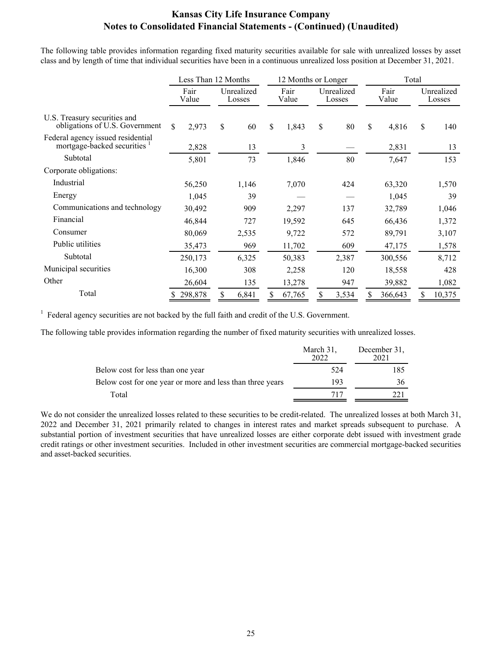The following table provides information regarding fixed maturity securities available for sale with unrealized losses by asset class and by length of time that individual securities have been in a continuous unrealized loss position at December 31, 2021.

|                                                                              |               | Less Than 12 Months  |          | 12 Months or Longer |    |                      |               | Total         |    |                      |  |
|------------------------------------------------------------------------------|---------------|----------------------|----------|---------------------|----|----------------------|---------------|---------------|----|----------------------|--|
|                                                                              | Fair<br>Value | Unrealized<br>Losses |          | Fair<br>Value       |    | Unrealized<br>Losses |               | Fair<br>Value |    | Unrealized<br>Losses |  |
| U.S. Treasury securities and<br>obligations of U.S. Government               | \$<br>2,973   | \$                   | 60<br>\$ | 1,843               | \$ | 80                   | $\mathcal{S}$ | 4,816         | \$ | 140                  |  |
| Federal agency issued residential<br>mortgage-backed securities <sup>1</sup> | 2,828         |                      | 13       | 3                   |    |                      |               | 2,831         |    | 13                   |  |
| Subtotal                                                                     | 5,801         |                      | 73       | 1,846               |    | 80                   |               | 7,647         |    | 153                  |  |
| Corporate obligations:                                                       |               |                      |          |                     |    |                      |               |               |    |                      |  |
| Industrial                                                                   | 56,250        | 1,146                |          | 7,070               |    | 424                  |               | 63,320        |    | 1,570                |  |
| Energy                                                                       | 1,045         |                      | 39       |                     |    |                      |               | 1,045         |    | 39                   |  |
| Communications and technology                                                | 30,492        | 909                  |          | 2,297               |    | 137                  |               | 32,789        |    | 1,046                |  |
| Financial                                                                    | 46,844        | 727                  |          | 19,592              |    | 645                  |               | 66,436        |    | 1,372                |  |
| Consumer                                                                     | 80,069        | 2,535                |          | 9,722               |    | 572                  |               | 89,791        |    | 3,107                |  |
| Public utilities                                                             | 35,473        | 969                  |          | 11,702              |    | 609                  |               | 47,175        |    | 1,578                |  |
| Subtotal                                                                     | 250,173       | 6,325                |          | 50,383              |    | 2,387                |               | 300,556       |    | 8,712                |  |
| Municipal securities                                                         | 16,300        | 308                  |          | 2,258               |    | 120                  |               | 18,558        |    | 428                  |  |
| Other                                                                        | 26,604        | 135                  |          | 13,278              |    | 947                  |               | 39,882        |    | 1,082                |  |
| Total                                                                        | 298,878<br>\$ | \$<br>6,841          | \$       | 67,765              | \$ | 3,534                | \$            | 366,643       | \$ | 10,375               |  |

<sup>1</sup> Federal agency securities are not backed by the full faith and credit of the U.S. Government.

The following table provides information regarding the number of fixed maturity securities with unrealized losses.

|                                                           | March 31,<br>2022 | December 31,<br>2021 |
|-----------------------------------------------------------|-------------------|----------------------|
| Below cost for less than one year                         | 524               | 185                  |
| Below cost for one year or more and less than three years | 193               | 36                   |
| Total                                                     | 717               |                      |

We do not consider the unrealized losses related to these securities to be credit-related. The unrealized losses at both March 31, 2022 and December 31, 2021 primarily related to changes in interest rates and market spreads subsequent to purchase. A substantial portion of investment securities that have unrealized losses are either corporate debt issued with investment grade credit ratings or other investment securities. Included in other investment securities are commercial mortgage-backed securities and asset-backed securities.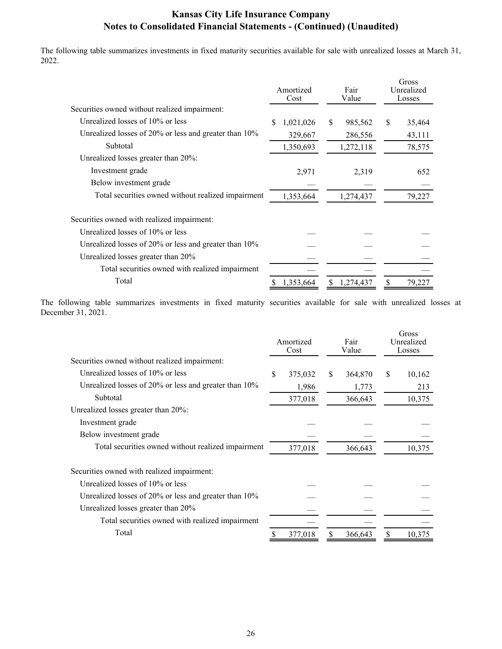The following table summarizes investments in fixed maturity securities available for sale with unrealized losses at March 31, 2022.

|                                                       | Amortized<br>Cost | Fair<br>Value | Gross<br>Unrealized<br>Losses |
|-------------------------------------------------------|-------------------|---------------|-------------------------------|
| Securities owned without realized impairment:         |                   |               |                               |
| Unrealized losses of 10% or less                      | \$<br>1,021,026   | \$<br>985,562 | \$<br>35,464                  |
| Unrealized losses of 20% or less and greater than 10% | 329,667           | 286,556       | 43,111                        |
| Subtotal                                              | 1,350,693         | 1,272,118     | 78,575                        |
| Unrealized losses greater than 20%:                   |                   |               |                               |
| Investment grade                                      | 2,971             | 2,319         | 652                           |
| Below investment grade                                |                   |               |                               |
| Total securities owned without realized impairment    | 1,353,664         | 1,274,437     | 79,227                        |
| Securities owned with realized impairment:            |                   |               |                               |
| Unrealized losses of 10% or less                      |                   |               |                               |
| Unrealized losses of 20% or less and greater than 10% |                   |               |                               |
| Unrealized losses greater than 20%                    |                   |               |                               |
| Total securities owned with realized impairment       |                   |               |                               |
| Total                                                 | 1,353,664         | 1,274,437     | \$<br>79,227                  |

The following table summarizes investments in fixed maturity securities available for sale with unrealized losses at December 31, 2021.

|                                                          | Amortized<br>Fair<br>Value<br>Cost |         |    | Gross<br>Unrealized<br>Losses |   |        |
|----------------------------------------------------------|------------------------------------|---------|----|-------------------------------|---|--------|
| Securities owned without realized impairment:            |                                    |         |    |                               |   |        |
| Unrealized losses of 10% or less                         | \$                                 | 375,032 | S. | 364,870                       | S | 10,162 |
| Unrealized losses of 20% or less and greater than 10%    |                                    | 1,986   |    | 1,773                         |   | 213    |
| Subtotal                                                 |                                    | 377,018 |    | 366,643                       |   | 10,375 |
| Unrealized losses greater than $20\%$ :                  |                                    |         |    |                               |   |        |
| Investment grade                                         |                                    |         |    |                               |   |        |
| Below investment grade                                   |                                    |         |    |                               |   |        |
| Total securities owned without realized impairment       |                                    | 377,018 |    | 366,643                       |   | 10,375 |
| Securities owned with realized impairment:               |                                    |         |    |                               |   |        |
| Unrealized losses of 10% or less                         |                                    |         |    |                               |   |        |
| Unrealized losses of 20% or less and greater than $10\%$ |                                    |         |    |                               |   |        |
| Unrealized losses greater than 20%                       |                                    |         |    |                               |   |        |
| Total securities owned with realized impairment          |                                    |         |    |                               |   |        |
| Total                                                    |                                    | 377,018 | S  | 366,643                       | S | 10,375 |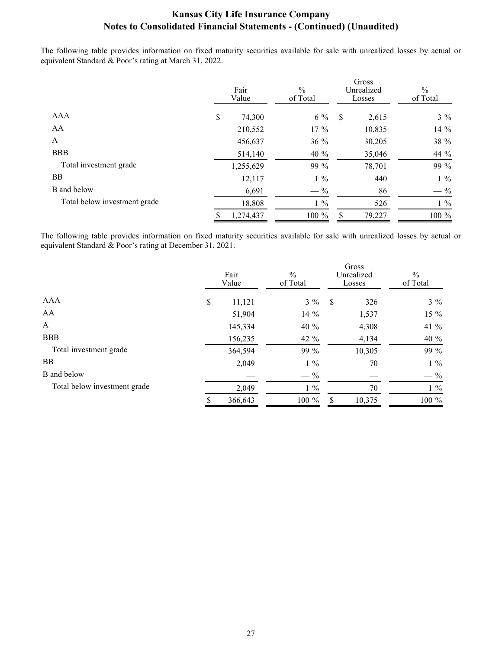The following table provides information on fixed maturity securities available for sale with unrealized losses by actual or equivalent Standard & Poor's rating at March 31, 2022.

|                              | Fair<br>Value | $\frac{0}{0}$<br>of Total |               | Gross<br>Unrealized<br>Losses | $\frac{0}{0}$<br>of Total |  |
|------------------------------|---------------|---------------------------|---------------|-------------------------------|---------------------------|--|
| AAA                          | \$<br>74,300  | $6\%$                     | $\mathcal{S}$ | 2,615                         | $3\%$                     |  |
| AA                           | 210,552       | $17\%$                    |               | 10,835                        | 14 %                      |  |
| $\mathbf{A}$                 | 456,637       | 36 %                      |               | 30,205                        | 38 %                      |  |
| <b>BBB</b>                   | 514,140       | 40 %                      |               | 35,046                        | 44 %                      |  |
| Total investment grade       | 1,255,629     | 99 %                      |               | 78,701                        | 99 %                      |  |
| <b>BB</b>                    | 12,117        | $1\%$                     |               | 440                           | $1\%$                     |  |
| B and below                  | 6,691         | $-$ %                     |               | 86                            | $-$ %                     |  |
| Total below investment grade | 18,808        | $1\%$                     |               | 526                           | $1\%$                     |  |
|                              | 1,274,437     | 100 %                     | \$.           | 79,227                        | 100 %                     |  |

The following table provides information on fixed maturity securities available for sale with unrealized losses by actual or equivalent Standard & Poor's rating at December 31, 2021.

|                              | Fair<br>Value | $\frac{0}{0}$<br>of Total |    | Gross<br>Unrealized<br>Losses | $\frac{0}{0}$<br>of Total |  |
|------------------------------|---------------|---------------------------|----|-------------------------------|---------------------------|--|
| AAA                          | \$<br>11,121  | $3\%$                     | \$ | 326                           | $3\%$                     |  |
| AA                           | 51,904        | 14 %                      |    | 1,537                         | $15 \%$                   |  |
| $\mathbf{A}$                 | 145,334       | 40 %                      |    | 4,308                         | 41 $%$                    |  |
| <b>BBB</b>                   | 156,235       | 42 %                      |    | 4,134                         | 40 %                      |  |
| Total investment grade       | 364,594       | 99 %                      |    | 10,305                        | 99 %                      |  |
| <b>BB</b>                    | 2,049         | $1\%$                     |    | 70                            | $1\%$                     |  |
| B and below                  |               | $-$ %                     |    |                               | $-$ %                     |  |
| Total below investment grade | 2,049         | $1\%$                     |    | 70                            | $1\%$                     |  |
|                              | 366,643       | 100 %                     | S  | 10,375                        | $100 \%$                  |  |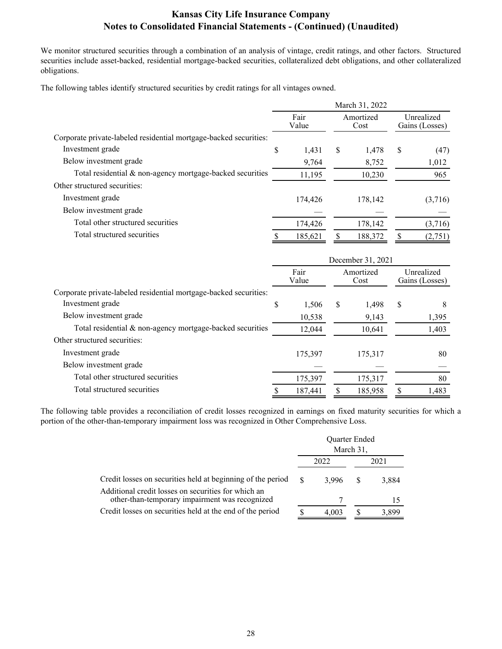We monitor structured securities through a combination of an analysis of vintage, credit ratings, and other factors. Structured securities include asset-backed, residential mortgage-backed securities, collateralized debt obligations, and other collateralized obligations.

The following tables identify structured securities by credit ratings for all vintages owned.

|                                                                   | March 31, 2022 |         |                   |         |                              |         |
|-------------------------------------------------------------------|----------------|---------|-------------------|---------|------------------------------|---------|
|                                                                   | Fair<br>Value  |         | Amortized<br>Cost |         | Unrealized<br>Gains (Losses) |         |
| Corporate private-labeled residential mortgage-backed securities: |                |         |                   |         |                              |         |
| Investment grade                                                  | \$             | 1,431   | S                 | 1,478   | S                            | (47)    |
| Below investment grade                                            |                | 9,764   |                   | 8,752   |                              | 1,012   |
| Total residential & non-agency mortgage-backed securities         |                | 11,195  |                   | 10,230  |                              | 965     |
| Other structured securities:                                      |                |         |                   |         |                              |         |
| Investment grade                                                  |                | 174,426 |                   | 178,142 |                              | (3,716) |
| Below investment grade                                            |                |         |                   |         |                              |         |
| Total other structured securities                                 |                | 174,426 |                   | 178,142 |                              | (3,716) |
| Total structured securities                                       |                | 185,621 |                   | 188,372 | ۵J.                          | (2,751) |

|                                                                   | December 31, 2021 |                  |                   |         |                              |       |
|-------------------------------------------------------------------|-------------------|------------------|-------------------|---------|------------------------------|-------|
|                                                                   | Fair<br>Value     |                  | Amortized<br>Cost |         | Unrealized<br>Gains (Losses) |       |
| Corporate private-labeled residential mortgage-backed securities: |                   |                  |                   |         |                              |       |
| Investment grade                                                  | \$                | 1,506            | S                 | 1,498   | S                            | 8     |
| Below investment grade                                            |                   | 10,538           |                   | 9,143   |                              | 1,395 |
| Total residential & non-agency mortgage-backed securities         |                   | 12,044<br>10,641 |                   |         | 1,403                        |       |
| Other structured securities:                                      |                   |                  |                   |         |                              |       |
| Investment grade                                                  |                   | 175,397          |                   | 175,317 |                              | 80    |
| Below investment grade                                            |                   |                  |                   |         |                              |       |
| Total other structured securities                                 |                   | 175,397          |                   | 175,317 |                              | 80    |
| Total structured securities                                       |                   | 187,441          |                   | 185,958 |                              | 1,483 |

The following table provides a reconciliation of credit losses recognized in earnings on fixed maturity securities for which a portion of the other-than-temporary impairment loss was recognized in Other Comprehensive Loss.

|                                                                                                       |     | <b>Ouarter Ended</b> | March 31, |       |
|-------------------------------------------------------------------------------------------------------|-----|----------------------|-----------|-------|
|                                                                                                       |     | 2022                 |           | 2021  |
| Credit losses on securities held at beginning of the period                                           | \$. | 3.996                | -S        | 3,884 |
| Additional credit losses on securities for which an<br>other-than-temporary impairment was recognized |     |                      |           |       |
| Credit losses on securities held at the end of the period                                             |     | 4.003                |           | 3.899 |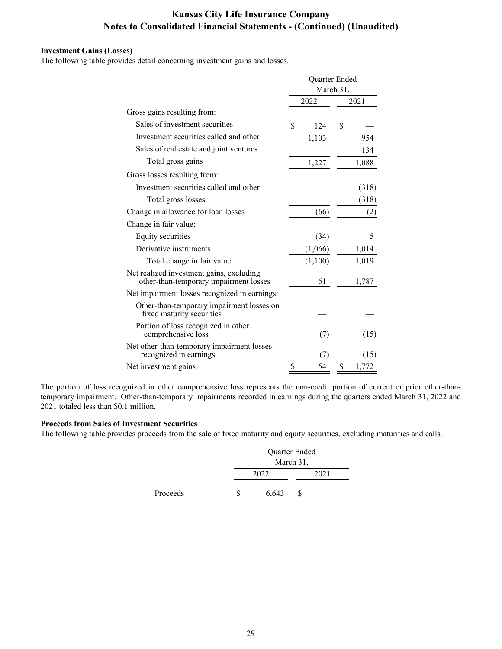### **Investment Gains (Losses)**

The following table provides detail concerning investment gains and losses.

|                                                                                    | Quarter Ended |           |    |       |  |  |
|------------------------------------------------------------------------------------|---------------|-----------|----|-------|--|--|
|                                                                                    |               | March 31, |    |       |  |  |
|                                                                                    |               | 2022      |    | 2021  |  |  |
| Gross gains resulting from:                                                        |               |           |    |       |  |  |
| Sales of investment securities                                                     | \$            | 124       | \$ |       |  |  |
| Investment securities called and other                                             |               | 1,103     |    | 954   |  |  |
| Sales of real estate and joint ventures                                            |               |           |    | 134   |  |  |
| Total gross gains                                                                  |               | 1,227     |    | 1,088 |  |  |
| Gross losses resulting from:                                                       |               |           |    |       |  |  |
| Investment securities called and other                                             |               |           |    | (318) |  |  |
| Total gross losses                                                                 |               |           |    | (318) |  |  |
| Change in allowance for loan losses                                                |               | (66)      |    | (2)   |  |  |
| Change in fair value:                                                              |               |           |    |       |  |  |
| Equity securities                                                                  |               | (34)      |    | 5     |  |  |
| Derivative instruments                                                             |               | (1,066)   |    | 1,014 |  |  |
| Total change in fair value                                                         |               | (1,100)   |    | 1,019 |  |  |
| Net realized investment gains, excluding<br>other-than-temporary impairment losses |               | 61        |    | 1,787 |  |  |
| Net impairment losses recognized in earnings:                                      |               |           |    |       |  |  |
| Other-than-temporary impairment losses on<br>fixed maturity securities             |               |           |    |       |  |  |
| Portion of loss recognized in other<br>comprehensive loss                          |               | 7)        |    | (15)  |  |  |
| Net other-than-temporary impairment losses<br>recognized in earnings               |               | (7        |    | (15)  |  |  |
| Net investment gains                                                               | \$            | 54        | \$ | 1,772 |  |  |

The portion of loss recognized in other comprehensive loss represents the non-credit portion of current or prior other-thantemporary impairment. Other-than-temporary impairments recorded in earnings during the quarters ended March 31, 2022 and 2021 totaled less than \$0.1 million.

### **Proceeds from Sales of Investment Securities**

The following table provides proceeds from the sale of fixed maturity and equity securities, excluding maturities and calls.

|          | Quarter Ended |           |  |  |  |  |  |  |  |
|----------|---------------|-----------|--|--|--|--|--|--|--|
|          |               | March 31, |  |  |  |  |  |  |  |
| Proceeds | 2022          | 2021      |  |  |  |  |  |  |  |
|          | 6,643         |           |  |  |  |  |  |  |  |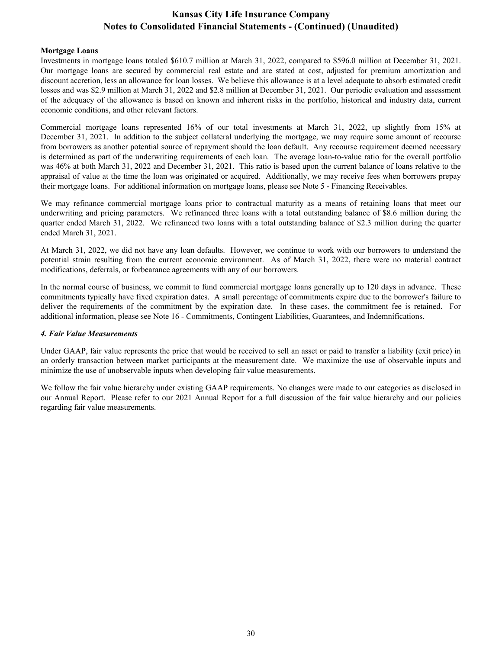#### **Mortgage Loans**

Investments in mortgage loans totaled \$610.7 million at March 31, 2022, compared to \$596.0 million at December 31, 2021. Our mortgage loans are secured by commercial real estate and are stated at cost, adjusted for premium amortization and discount accretion, less an allowance for loan losses. We believe this allowance is at a level adequate to absorb estimated credit losses and was \$2.9 million at March 31, 2022 and \$2.8 million at December 31, 2021. Our periodic evaluation and assessment of the adequacy of the allowance is based on known and inherent risks in the portfolio, historical and industry data, current economic conditions, and other relevant factors.

Commercial mortgage loans represented 16% of our total investments at March 31, 2022, up slightly from 15% at December 31, 2021. In addition to the subject collateral underlying the mortgage, we may require some amount of recourse from borrowers as another potential source of repayment should the loan default. Any recourse requirement deemed necessary is determined as part of the underwriting requirements of each loan. The average loan-to-value ratio for the overall portfolio was 46% at both March 31, 2022 and December 31, 2021. This ratio is based upon the current balance of loans relative to the appraisal of value at the time the loan was originated or acquired. Additionally, we may receive fees when borrowers prepay their mortgage loans. For additional information on mortgage loans, please see Note 5 - Financing Receivables.

We may refinance commercial mortgage loans prior to contractual maturity as a means of retaining loans that meet our underwriting and pricing parameters. We refinanced three loans with a total outstanding balance of \$8.6 million during the quarter ended March 31, 2022. We refinanced two loans with a total outstanding balance of \$2.3 million during the quarter ended March 31, 2021.

At March 31, 2022, we did not have any loan defaults. However, we continue to work with our borrowers to understand the potential strain resulting from the current economic environment. As of March 31, 2022, there were no material contract modifications, deferrals, or forbearance agreements with any of our borrowers.

In the normal course of business, we commit to fund commercial mortgage loans generally up to 120 days in advance. These commitments typically have fixed expiration dates. A small percentage of commitments expire due to the borrower's failure to deliver the requirements of the commitment by the expiration date. In these cases, the commitment fee is retained. For additional information, please see Note 16 - Commitments, Contingent Liabilities, Guarantees, and Indemnifications.

### *4. Fair Value Measurements*

Under GAAP, fair value represents the price that would be received to sell an asset or paid to transfer a liability (exit price) in an orderly transaction between market participants at the measurement date. We maximize the use of observable inputs and minimize the use of unobservable inputs when developing fair value measurements.

We follow the fair value hierarchy under existing GAAP requirements. No changes were made to our categories as disclosed in our Annual Report. Please refer to our 2021 Annual Report for a full discussion of the fair value hierarchy and our policies regarding fair value measurements.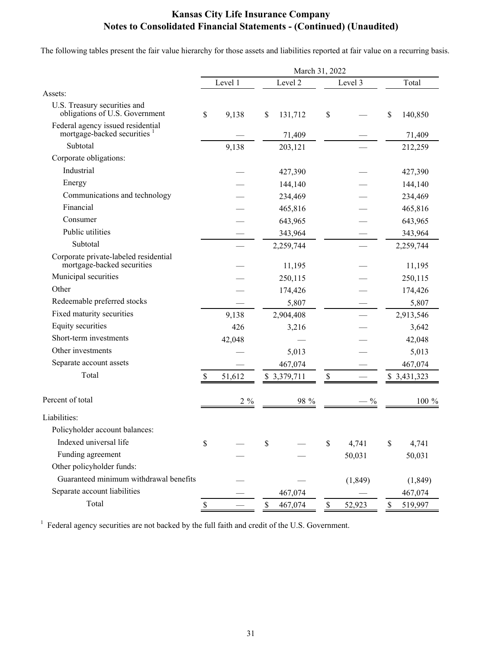The following tables present the fair value hierarchy for those assets and liabilities reported at fair value on a recurring basis.

|                                                                              | March 31, 2022            |         |      |              |                           |          |    |              |
|------------------------------------------------------------------------------|---------------------------|---------|------|--------------|---------------------------|----------|----|--------------|
|                                                                              |                           | Level 1 |      | Level 2      |                           | Level 3  |    | Total        |
| Assets:                                                                      |                           |         |      |              |                           |          |    |              |
| U.S. Treasury securities and<br>obligations of U.S. Government               | \$                        | 9,138   | \$   | 131,712      | \$                        |          | \$ | 140,850      |
| Federal agency issued residential<br>mortgage-backed securities <sup>1</sup> |                           |         |      | 71,409       |                           |          |    | 71,409       |
| Subtotal                                                                     |                           | 9,138   |      | 203,121      |                           |          |    | 212,259      |
| Corporate obligations:                                                       |                           |         |      |              |                           |          |    |              |
| Industrial                                                                   |                           |         |      | 427,390      |                           |          |    | 427,390      |
| Energy                                                                       |                           |         |      | 144,140      |                           |          |    | 144,140      |
| Communications and technology                                                |                           |         |      | 234,469      |                           |          |    | 234,469      |
| Financial                                                                    |                           |         |      | 465,816      |                           |          |    | 465,816      |
| Consumer                                                                     |                           |         |      | 643,965      |                           |          |    | 643,965      |
| Public utilities                                                             |                           |         |      | 343,964      |                           |          |    | 343,964      |
| Subtotal                                                                     |                           |         |      | 2,259,744    |                           |          |    | 2,259,744    |
| Corporate private-labeled residential<br>mortgage-backed securities          |                           |         |      | 11,195       |                           |          |    | 11,195       |
| Municipal securities                                                         |                           |         |      | 250,115      |                           |          |    | 250,115      |
| Other                                                                        |                           |         |      | 174,426      |                           |          |    | 174,426      |
| Redeemable preferred stocks                                                  |                           |         |      | 5,807        |                           |          |    | 5,807        |
| Fixed maturity securities                                                    |                           | 9,138   |      | 2,904,408    |                           |          |    | 2,913,546    |
| Equity securities                                                            |                           | 426     |      | 3,216        |                           |          |    | 3,642        |
| Short-term investments                                                       |                           | 42,048  |      |              |                           |          |    | 42,048       |
| Other investments                                                            |                           |         |      | 5,013        |                           |          |    | 5,013        |
| Separate account assets                                                      |                           |         |      | 467,074      |                           |          |    | 467,074      |
| Total                                                                        | $\boldsymbol{\mathsf{S}}$ | 51,612  |      | \$ 3,379,711 | $\boldsymbol{\mathbb{S}}$ |          |    | \$ 3,431,323 |
| Percent of total                                                             |                           | $2\%$   |      | 98 %         |                           | $-$ %    |    | 100 %        |
| Liabilities:                                                                 |                           |         |      |              |                           |          |    |              |
| Policyholder account balances:                                               |                           |         |      |              |                           |          |    |              |
| Indexed universal life                                                       | \$                        |         | \$   |              | \$                        | 4,741    | \$ | 4,741        |
| Funding agreement                                                            |                           |         |      |              |                           | 50,031   |    | 50,031       |
| Other policyholder funds:                                                    |                           |         |      |              |                           |          |    |              |
| Guaranteed minimum withdrawal benefits                                       |                           |         |      |              |                           | (1, 849) |    | (1, 849)     |
| Separate account liabilities                                                 |                           |         |      | 467,074      |                           |          |    | 467,074      |
| Total                                                                        | $\mathbb S$               |         | $\$$ | 467,074      | \$                        | 52,923   | \$ | 519,997      |

<sup>1</sup> Federal agency securities are not backed by the full faith and credit of the U.S. Government.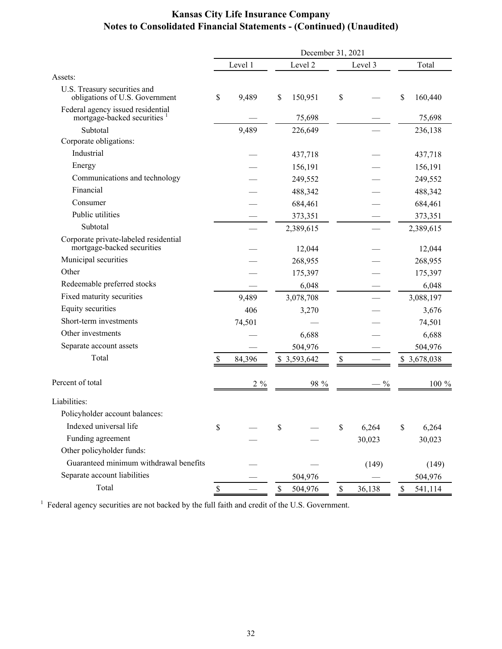|                                                                     | December 31, 2021 |         |    |             |                           |               |    |             |
|---------------------------------------------------------------------|-------------------|---------|----|-------------|---------------------------|---------------|----|-------------|
|                                                                     |                   | Level 1 |    | Level 2     |                           | Level 3       |    | Total       |
| Assets:                                                             |                   |         |    |             |                           |               |    |             |
| U.S. Treasury securities and<br>obligations of U.S. Government      | \$                | 9,489   | \$ | 150,951     | \$                        |               | \$ | 160,440     |
| Federal agency issued residential<br>mortgage-backed securities     |                   |         |    | 75,698      |                           |               |    | 75,698      |
| Subtotal                                                            |                   | 9,489   |    | 226,649     |                           |               |    | 236,138     |
| Corporate obligations:                                              |                   |         |    |             |                           |               |    |             |
| Industrial                                                          |                   |         |    | 437,718     |                           |               |    | 437,718     |
| Energy                                                              |                   |         |    | 156,191     |                           |               |    | 156,191     |
| Communications and technology                                       |                   |         |    | 249,552     |                           |               |    | 249,552     |
| Financial                                                           |                   |         |    | 488,342     |                           |               |    | 488,342     |
| Consumer                                                            |                   |         |    | 684,461     |                           |               |    | 684,461     |
| Public utilities                                                    |                   |         |    | 373,351     |                           |               |    | 373,351     |
| Subtotal                                                            |                   |         |    | 2,389,615   |                           |               |    | 2,389,615   |
| Corporate private-labeled residential<br>mortgage-backed securities |                   |         |    | 12,044      |                           |               |    | 12,044      |
| Municipal securities                                                |                   |         |    | 268,955     |                           |               |    | 268,955     |
| Other                                                               |                   |         |    | 175,397     |                           |               |    | 175,397     |
| Redeemable preferred stocks                                         |                   |         |    | 6,048       |                           |               |    | 6,048       |
| Fixed maturity securities                                           |                   | 9,489   |    | 3,078,708   |                           |               |    | 3,088,197   |
| Equity securities                                                   |                   | 406     |    | 3,270       |                           |               |    | 3,676       |
| Short-term investments                                              |                   | 74,501  |    |             |                           |               |    | 74,501      |
| Other investments                                                   |                   |         |    | 6,688       |                           |               |    | 6,688       |
| Separate account assets                                             |                   |         |    | 504,976     |                           |               |    | 504,976     |
| Total                                                               | $\mathcal{S}$     | 84,396  |    | \$3,593,642 | $\boldsymbol{\mathsf{S}}$ |               |    | \$3,678,038 |
| Percent of total                                                    |                   | $2\%$   |    | 98 %        |                           | $\frac{0}{0}$ |    | 100 %       |
| Liabilities:                                                        |                   |         |    |             |                           |               |    |             |
| Policyholder account balances:                                      |                   |         |    |             |                           |               |    |             |
| Indexed universal life                                              | \$                |         | \$ |             | \$                        | 6,264         | \$ | 6,264       |
| Funding agreement                                                   |                   |         |    |             |                           | 30,023        |    | 30,023      |
| Other policyholder funds:                                           |                   |         |    |             |                           |               |    |             |
| Guaranteed minimum withdrawal benefits                              |                   |         |    |             |                           | (149)         |    | (149)       |
| Separate account liabilities                                        |                   |         |    | 504,976     |                           |               |    | 504,976     |
| Total                                                               | \$                |         |    | 504,976     | \$                        | 36,138        | \$ | 541,114     |

<sup>1</sup> Federal agency securities are not backed by the full faith and credit of the U.S. Government.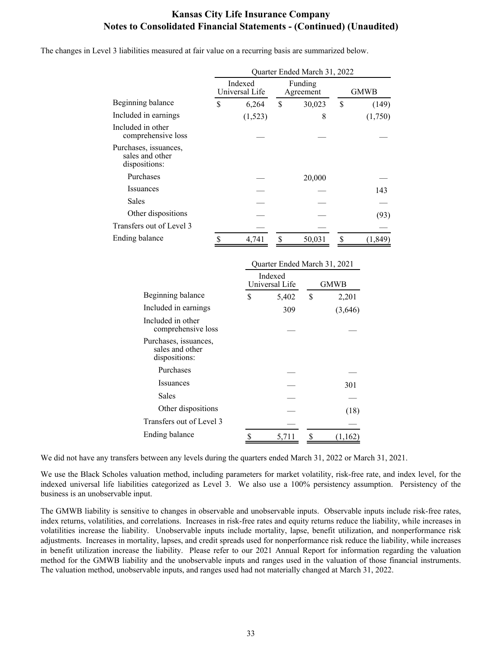The changes in Level 3 liabilities measured at fair value on a recurring basis are summarized below.

|                                                           | Quarter Ended March 31, 2022                      |          |    |        |             |          |  |  |  |
|-----------------------------------------------------------|---------------------------------------------------|----------|----|--------|-------------|----------|--|--|--|
|                                                           | Indexed<br>Funding<br>Universal Life<br>Agreement |          |    |        | <b>GMWB</b> |          |  |  |  |
| Beginning balance                                         | \$                                                | 6,264    | \$ | 30,023 | \$          | (149)    |  |  |  |
| Included in earnings                                      |                                                   | (1, 523) |    | 8      |             | (1,750)  |  |  |  |
| Included in other<br>comprehensive loss                   |                                                   |          |    |        |             |          |  |  |  |
| Purchases, issuances,<br>sales and other<br>dispositions: |                                                   |          |    |        |             |          |  |  |  |
| Purchases                                                 |                                                   |          |    | 20,000 |             |          |  |  |  |
| Issuances                                                 |                                                   |          |    |        |             | 143      |  |  |  |
| Sales                                                     |                                                   |          |    |        |             |          |  |  |  |
| Other dispositions                                        |                                                   |          |    |        |             | (93)     |  |  |  |
| Transfers out of Level 3                                  |                                                   |          |    |        |             |          |  |  |  |
| Ending balance                                            | ¢                                                 | 4,741    | \$ | 50,031 |             | (1, 849) |  |  |  |

|                                                           | Quarter Ended March 31, 2021 |             |         |  |  |  |  |
|-----------------------------------------------------------|------------------------------|-------------|---------|--|--|--|--|
|                                                           | Indexed<br>Universal Life    | <b>GMWB</b> |         |  |  |  |  |
| Beginning balance                                         | \$<br>5,402                  | \$          | 2,201   |  |  |  |  |
| Included in earnings                                      | 309                          |             | (3,646) |  |  |  |  |
| Included in other<br>comprehensive loss                   |                              |             |         |  |  |  |  |
| Purchases, issuances,<br>sales and other<br>dispositions: |                              |             |         |  |  |  |  |
| Purchases                                                 |                              |             |         |  |  |  |  |
| <b>Issuances</b>                                          |                              |             | 301     |  |  |  |  |
| Sales                                                     |                              |             |         |  |  |  |  |
| Other dispositions                                        |                              |             | (18)    |  |  |  |  |
| Transfers out of Level 3                                  |                              |             |         |  |  |  |  |
| Ending balance                                            | 5,711                        |             |         |  |  |  |  |

We did not have any transfers between any levels during the quarters ended March 31, 2022 or March 31, 2021.

We use the Black Scholes valuation method, including parameters for market volatility, risk-free rate, and index level, for the indexed universal life liabilities categorized as Level 3. We also use a 100% persistency assumption. Persistency of the business is an unobservable input.

The GMWB liability is sensitive to changes in observable and unobservable inputs. Observable inputs include risk-free rates, index returns, volatilities, and correlations. Increases in risk-free rates and equity returns reduce the liability, while increases in volatilities increase the liability. Unobservable inputs include mortality, lapse, benefit utilization, and nonperformance risk adjustments. Increases in mortality, lapses, and credit spreads used for nonperformance risk reduce the liability, while increases in benefit utilization increase the liability. Please refer to our 2021 Annual Report for information regarding the valuation method for the GMWB liability and the unobservable inputs and ranges used in the valuation of those financial instruments. The valuation method, unobservable inputs, and ranges used had not materially changed at March 31, 2022.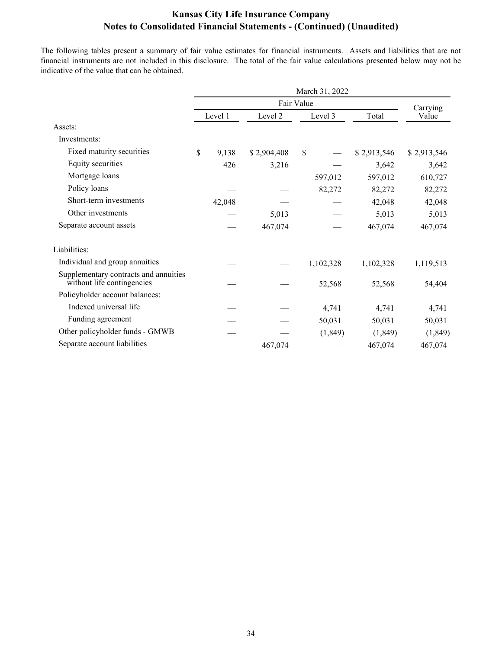The following tables present a summary of fair value estimates for financial instruments. Assets and liabilities that are not financial instruments are not included in this disclosure. The total of the fair value calculations presented below may not be indicative of the value that can be obtained.

|                                                                     | March 31, 2022 |         |             |         |           |             |             |  |
|---------------------------------------------------------------------|----------------|---------|-------------|---------|-----------|-------------|-------------|--|
|                                                                     | Fair Value     |         |             |         |           |             | Carrying    |  |
|                                                                     |                | Level 1 | Level 2     | Level 3 |           | Total       | Value       |  |
| Assets:                                                             |                |         |             |         |           |             |             |  |
| Investments:                                                        |                |         |             |         |           |             |             |  |
| Fixed maturity securities                                           | \$             | 9,138   | \$2,904,408 | \$      |           | \$2,913,546 | \$2,913,546 |  |
| Equity securities                                                   |                | 426     | 3,216       |         |           | 3,642       | 3,642       |  |
| Mortgage loans                                                      |                |         |             |         | 597,012   | 597,012     | 610,727     |  |
| Policy loans                                                        |                |         |             |         | 82,272    | 82,272      | 82,272      |  |
| Short-term investments                                              |                | 42,048  |             |         |           | 42,048      | 42,048      |  |
| Other investments                                                   |                |         | 5,013       |         |           | 5,013       | 5,013       |  |
| Separate account assets                                             |                |         | 467,074     |         |           | 467,074     | 467,074     |  |
| Liabilities:                                                        |                |         |             |         |           |             |             |  |
| Individual and group annuities                                      |                |         |             |         | 1,102,328 | 1,102,328   | 1,119,513   |  |
| Supplementary contracts and annuities<br>without life contingencies |                |         |             |         | 52,568    | 52,568      | 54,404      |  |
| Policyholder account balances:                                      |                |         |             |         |           |             |             |  |
| Indexed universal life                                              |                |         |             |         | 4,741     | 4,741       | 4,741       |  |
| Funding agreement                                                   |                |         |             |         | 50,031    | 50,031      | 50,031      |  |
| Other policyholder funds - GMWB                                     |                |         |             |         | (1, 849)  | (1, 849)    | (1, 849)    |  |
| Separate account liabilities                                        |                |         | 467,074     |         |           | 467,074     | 467,074     |  |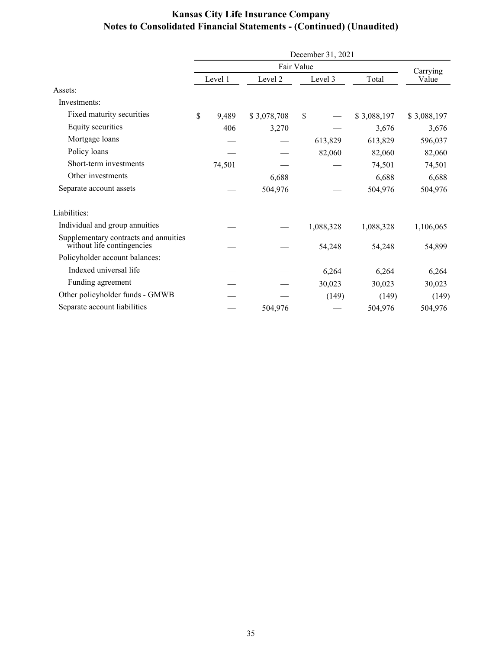|                                                                     | December 31, 2021 |            |             |               |             |                   |  |  |  |
|---------------------------------------------------------------------|-------------------|------------|-------------|---------------|-------------|-------------------|--|--|--|
|                                                                     |                   | Fair Value |             |               |             |                   |  |  |  |
|                                                                     |                   | Level 1    | Level 2     | Level 3       | Total       | Carrying<br>Value |  |  |  |
| Assets:                                                             |                   |            |             |               |             |                   |  |  |  |
| Investments:                                                        |                   |            |             |               |             |                   |  |  |  |
| Fixed maturity securities                                           | \$                | 9,489      | \$3,078,708 | $\mathsf{\$}$ | \$3,088,197 | \$3,088,197       |  |  |  |
| Equity securities                                                   |                   | 406        | 3,270       |               | 3,676       | 3,676             |  |  |  |
| Mortgage loans                                                      |                   |            |             | 613,829       | 613,829     | 596,037           |  |  |  |
| Policy loans                                                        |                   |            |             | 82,060        | 82,060      | 82,060            |  |  |  |
| Short-term investments                                              |                   | 74,501     |             |               | 74,501      | 74,501            |  |  |  |
| Other investments                                                   |                   |            | 6,688       |               | 6,688       | 6,688             |  |  |  |
| Separate account assets                                             |                   |            | 504,976     |               | 504,976     | 504,976           |  |  |  |
| Liabilities:                                                        |                   |            |             |               |             |                   |  |  |  |
| Individual and group annuities                                      |                   |            |             | 1,088,328     | 1,088,328   | 1,106,065         |  |  |  |
| Supplementary contracts and annuities<br>without life contingencies |                   |            |             | 54,248        | 54,248      | 54,899            |  |  |  |
| Policyholder account balances:                                      |                   |            |             |               |             |                   |  |  |  |
| Indexed universal life                                              |                   |            |             | 6,264         | 6,264       | 6,264             |  |  |  |
| Funding agreement                                                   |                   |            |             | 30,023        | 30,023      | 30,023            |  |  |  |
| Other policyholder funds - GMWB                                     |                   |            |             | (149)         | (149)       | (149)             |  |  |  |
| Separate account liabilities                                        |                   |            | 504,976     |               | 504,976     | 504,976           |  |  |  |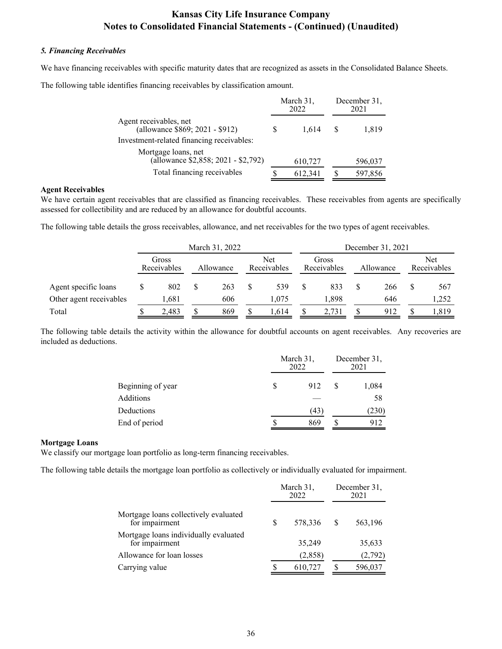### *5. Financing Receivables*

We have financing receivables with specific maturity dates that are recognized as assets in the Consolidated Balance Sheets.

The following table identifies financing receivables by classification amount.

|                                                                                                        |   | March 31,<br>2022 |   | December 31,<br>2021 |  |  |
|--------------------------------------------------------------------------------------------------------|---|-------------------|---|----------------------|--|--|
| Agent receivables, net<br>(allowance \$869; 2021 - \$912)<br>Investment-related financing receivables: | S | 1,614             | S | 1,819                |  |  |
| Mortgage loans, net<br>(allowance \$2,858; 2021 - \$2,792)                                             |   | 610,727           |   | 596,037              |  |  |
| Total financing receivables                                                                            |   | 612,341           |   | 597,856              |  |  |

### **Agent Receivables**

We have certain agent receivables that are classified as financing receivables. These receivables from agents are specifically assessed for collectibility and are reduced by an allowance for doubtful accounts.

The following table details the gross receivables, allowance, and net receivables for the two types of agent receivables.

|                         | March 31, 2022 |                      |           |     | December 31, 2021  |       |                      |       |           |     |  |                    |
|-------------------------|----------------|----------------------|-----------|-----|--------------------|-------|----------------------|-------|-----------|-----|--|--------------------|
|                         |                | Gross<br>Receivables | Allowance |     | Net<br>Receivables |       | Gross<br>Receivables |       | Allowance |     |  | Net<br>Receivables |
| Agent specific loans    |                | 802                  |           | 263 |                    | 539   |                      | 833   |           | 266 |  | 567                |
| Other agent receivables |                | 1,681                |           | 606 |                    | 1.075 |                      | 1.898 |           | 646 |  | 1,252              |
| Total                   |                | 2,483                |           | 869 |                    | 1.614 |                      | 2.731 |           | 912 |  | 1.819              |

The following table details the activity within the allowance for doubtful accounts on agent receivables. Any recoveries are included as deductions.

|                   | March 31,<br>2022 |     |  | December 31,<br>2021 |  |  |
|-------------------|-------------------|-----|--|----------------------|--|--|
| Beginning of year |                   | 912 |  | 1,084                |  |  |
| Additions         |                   |     |  | 58                   |  |  |
| Deductions        |                   | (43 |  | (230)                |  |  |
| End of period     |                   | 869 |  | 912                  |  |  |

### **Mortgage Loans**

We classify our mortgage loan portfolio as long-term financing receivables.

The following table details the mortgage loan portfolio as collectively or individually evaluated for impairment.

|                                                         |   | March 31,<br>2022 | December 31,<br>2021 |         |  |
|---------------------------------------------------------|---|-------------------|----------------------|---------|--|
| Mortgage loans collectively evaluated<br>for impairment | S | 578,336           | \$.                  | 563,196 |  |
| Mortgage loans individually evaluated<br>for impairment |   | 35,249            |                      | 35,633  |  |
| Allowance for loan losses                               |   | (2,858)           |                      | (2,792) |  |
| Carrying value                                          |   | 610,727           |                      | 596,037 |  |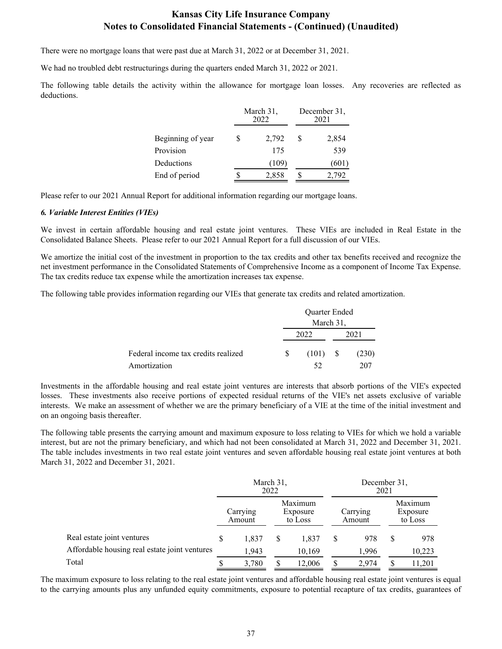There were no mortgage loans that were past due at March 31, 2022 or at December 31, 2021.

We had no troubled debt restructurings during the quarters ended March 31, 2022 or 2021.

The following table details the activity within the allowance for mortgage loan losses. Any recoveries are reflected as deductions.

|                   |   | March 31,<br>2022 | December 31,<br>2021 |       |  |  |
|-------------------|---|-------------------|----------------------|-------|--|--|
| Beginning of year | S | 2,792             | S                    | 2,854 |  |  |
| Provision         |   | 175               |                      | 539   |  |  |
| Deductions        |   | (109)             |                      | (601) |  |  |
| End of period     |   | 2,858             |                      | 2.792 |  |  |

Please refer to our 2021 Annual Report for additional information regarding our mortgage loans.

### *6. Variable Interest Entities (VIEs)*

We invest in certain affordable housing and real estate joint ventures. These VIEs are included in Real Estate in the Consolidated Balance Sheets. Please refer to our 2021 Annual Report for a full discussion of our VIEs.

We amortize the initial cost of the investment in proportion to the tax credits and other tax benefits received and recognize the net investment performance in the Consolidated Statements of Comprehensive Income as a component of Income Tax Expense. The tax credits reduce tax expense while the amortization increases tax expense.

The following table provides information regarding our VIEs that generate tax credits and related amortization.

|                                     |    | Quarter Ended<br>March 31, |      |       |  |
|-------------------------------------|----|----------------------------|------|-------|--|
|                                     |    | 2022                       |      | 2021  |  |
| Federal income tax credits realized | S. | (101)                      | - \$ | (230) |  |
| Amortization                        |    | 52                         |      | 207   |  |

Investments in the affordable housing and real estate joint ventures are interests that absorb portions of the VIE's expected losses. These investments also receive portions of expected residual returns of the VIE's net assets exclusive of variable interests. We make an assessment of whether we are the primary beneficiary of a VIE at the time of the initial investment and on an ongoing basis thereafter.

The following table presents the carrying amount and maximum exposure to loss relating to VIEs for which we hold a variable interest, but are not the primary beneficiary, and which had not been consolidated at March 31, 2022 and December 31, 2021. The table includes investments in two real estate joint ventures and seven affordable housing real estate joint ventures at both March 31, 2022 and December 31, 2021.

|                                               | March 31,<br>2022 |                    |   |                                | December 31,<br>2021 |                    |   |                                |  |
|-----------------------------------------------|-------------------|--------------------|---|--------------------------------|----------------------|--------------------|---|--------------------------------|--|
|                                               |                   | Carrying<br>Amount |   | Maximum<br>Exposure<br>to Loss |                      | Carrying<br>Amount |   | Maximum<br>Exposure<br>to Loss |  |
| Real estate joint ventures                    |                   | 1,837              | S | 1,837                          | S                    | 978                | S | 978                            |  |
| Affordable housing real estate joint ventures |                   | 1.943              |   | 10,169                         |                      | 1,996              |   | 10,223                         |  |
| Total                                         |                   | 3,780              | S | 12,006                         |                      | 2,974              |   | 11,201                         |  |

The maximum exposure to loss relating to the real estate joint ventures and affordable housing real estate joint ventures is equal to the carrying amounts plus any unfunded equity commitments, exposure to potential recapture of tax credits, guarantees of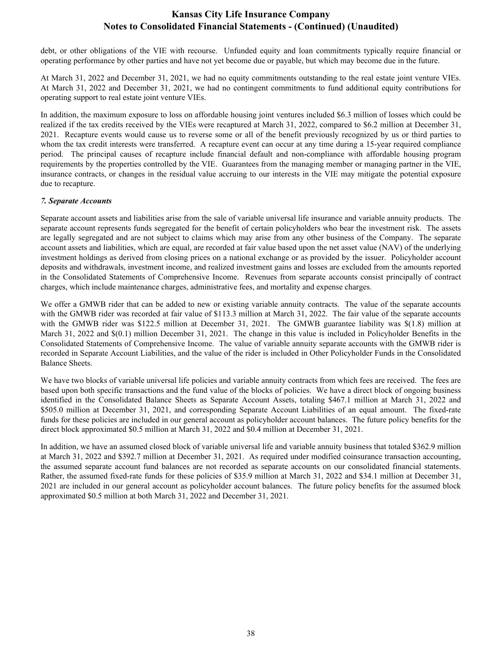debt, or other obligations of the VIE with recourse. Unfunded equity and loan commitments typically require financial or operating performance by other parties and have not yet become due or payable, but which may become due in the future.

At March 31, 2022 and December 31, 2021, we had no equity commitments outstanding to the real estate joint venture VIEs. At March 31, 2022 and December 31, 2021, we had no contingent commitments to fund additional equity contributions for operating support to real estate joint venture VIEs.

In addition, the maximum exposure to loss on affordable housing joint ventures included \$6.3 million of losses which could be realized if the tax credits received by the VIEs were recaptured at March 31, 2022, compared to \$6.2 million at December 31, 2021. Recapture events would cause us to reverse some or all of the benefit previously recognized by us or third parties to whom the tax credit interests were transferred. A recapture event can occur at any time during a 15-year required compliance period. The principal causes of recapture include financial default and non-compliance with affordable housing program requirements by the properties controlled by the VIE. Guarantees from the managing member or managing partner in the VIE, insurance contracts, or changes in the residual value accruing to our interests in the VIE may mitigate the potential exposure due to recapture.

## *7. Separate Accounts*

Separate account assets and liabilities arise from the sale of variable universal life insurance and variable annuity products. The separate account represents funds segregated for the benefit of certain policyholders who bear the investment risk. The assets are legally segregated and are not subject to claims which may arise from any other business of the Company. The separate account assets and liabilities, which are equal, are recorded at fair value based upon the net asset value (NAV) of the underlying investment holdings as derived from closing prices on a national exchange or as provided by the issuer. Policyholder account deposits and withdrawals, investment income, and realized investment gains and losses are excluded from the amounts reported in the Consolidated Statements of Comprehensive Income. Revenues from separate accounts consist principally of contract charges, which include maintenance charges, administrative fees, and mortality and expense charges.

We offer a GMWB rider that can be added to new or existing variable annuity contracts. The value of the separate accounts with the GMWB rider was recorded at fair value of \$113.3 million at March 31, 2022. The fair value of the separate accounts with the GMWB rider was \$122.5 million at December 31, 2021. The GMWB guarantee liability was \$(1.8) million at March 31, 2022 and \$(0.1) million December 31, 2021. The change in this value is included in Policyholder Benefits in the Consolidated Statements of Comprehensive Income. The value of variable annuity separate accounts with the GMWB rider is recorded in Separate Account Liabilities, and the value of the rider is included in Other Policyholder Funds in the Consolidated Balance Sheets.

We have two blocks of variable universal life policies and variable annuity contracts from which fees are received. The fees are based upon both specific transactions and the fund value of the blocks of policies. We have a direct block of ongoing business identified in the Consolidated Balance Sheets as Separate Account Assets, totaling \$467.1 million at March 31, 2022 and \$505.0 million at December 31, 2021, and corresponding Separate Account Liabilities of an equal amount. The fixed-rate funds for these policies are included in our general account as policyholder account balances. The future policy benefits for the direct block approximated \$0.5 million at March 31, 2022 and \$0.4 million at December 31, 2021.

In addition, we have an assumed closed block of variable universal life and variable annuity business that totaled \$362.9 million at March 31, 2022 and \$392.7 million at December 31, 2021. As required under modified coinsurance transaction accounting, the assumed separate account fund balances are not recorded as separate accounts on our consolidated financial statements. Rather, the assumed fixed-rate funds for these policies of \$35.9 million at March 31, 2022 and \$34.1 million at December 31, 2021 are included in our general account as policyholder account balances. The future policy benefits for the assumed block approximated \$0.5 million at both March 31, 2022 and December 31, 2021.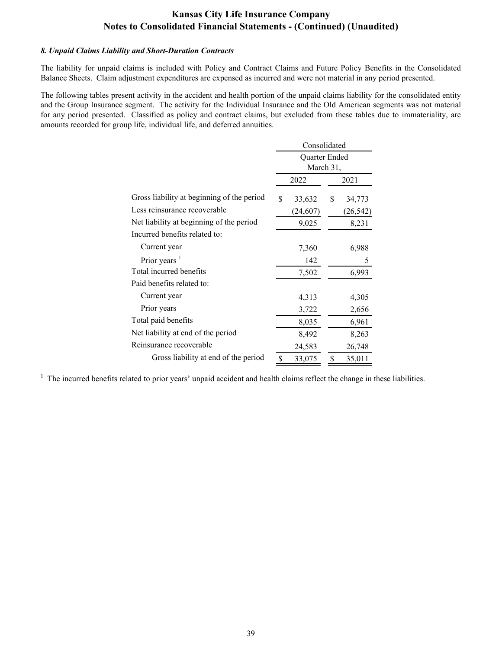## *8. Unpaid Claims Liability and Short-Duration Contracts*

The liability for unpaid claims is included with Policy and Contract Claims and Future Policy Benefits in the Consolidated Balance Sheets. Claim adjustment expenditures are expensed as incurred and were not material in any period presented.

The following tables present activity in the accident and health portion of the unpaid claims liability for the consolidated entity and the Group Insurance segment. The activity for the Individual Insurance and the Old American segments was not material for any period presented. Classified as policy and contract claims, but excluded from these tables due to immateriality, are amounts recorded for group life, individual life, and deferred annuities.

|                                            | Consolidated   |               |  |  |  |
|--------------------------------------------|----------------|---------------|--|--|--|
|                                            |                | Quarter Ended |  |  |  |
|                                            |                | March 31,     |  |  |  |
|                                            | 2022           | 2021          |  |  |  |
| Gross liability at beginning of the period | \$<br>33,632   | \$<br>34,773  |  |  |  |
| Less reinsurance recoverable               | (24, 607)      | (26, 542)     |  |  |  |
| Net liability at beginning of the period   | 9,025<br>8,231 |               |  |  |  |
| Incurred benefits related to:              |                |               |  |  |  |
| Current year                               | 7,360          | 6,988         |  |  |  |
| Prior years $1$                            | 142            | 5             |  |  |  |
| Total incurred benefits                    | 7,502          | 6,993         |  |  |  |
| Paid benefits related to:                  |                |               |  |  |  |
| Current year                               | 4,313          | 4,305         |  |  |  |
| Prior years                                | 3,722          | 2,656         |  |  |  |
| Total paid benefits                        | 8,035          | 6,961         |  |  |  |
| Net liability at end of the period         | 8,492          | 8,263         |  |  |  |
| Reinsurance recoverable                    | 24,583         | 26,748        |  |  |  |
| Gross liability at end of the period       | \$<br>33,075   | \$<br>35,011  |  |  |  |

<sup>1</sup> The incurred benefits related to prior years' unpaid accident and health claims reflect the change in these liabilities.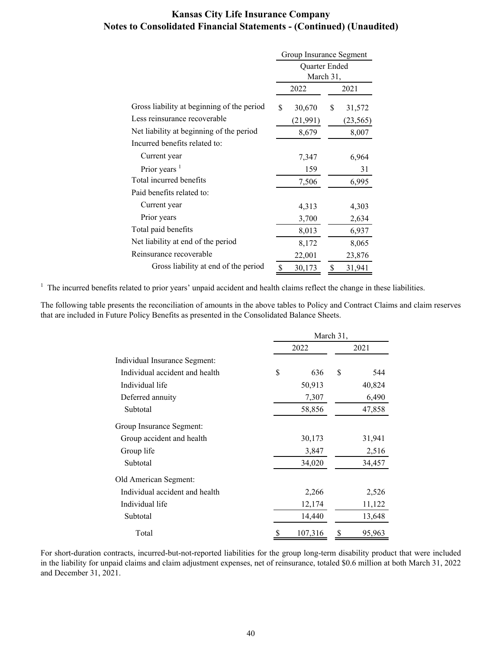|                                            | Group Insurance Segment |           |    |           |  |  |
|--------------------------------------------|-------------------------|-----------|----|-----------|--|--|
|                                            | Quarter Ended           |           |    |           |  |  |
|                                            |                         | March 31, |    |           |  |  |
|                                            |                         | 2022      |    | 2021      |  |  |
| Gross liability at beginning of the period | \$                      | 30,670    | \$ | 31,572    |  |  |
| Less reinsurance recoverable               |                         | (21,991)  |    | (23, 565) |  |  |
| Net liability at beginning of the period   |                         | 8,679     |    | 8,007     |  |  |
| Incurred benefits related to:              |                         |           |    |           |  |  |
| Current year                               |                         | 7,347     |    | 6,964     |  |  |
| Prior years $1$                            |                         | 159       | 31 |           |  |  |
| Total incurred benefits                    |                         | 7,506     |    | 6,995     |  |  |
| Paid benefits related to:                  |                         |           |    |           |  |  |
| Current year                               |                         | 4,313     |    | 4,303     |  |  |
| Prior years                                |                         | 3,700     |    | 2,634     |  |  |
| Total paid benefits                        |                         | 8,013     |    | 6,937     |  |  |
| Net liability at end of the period         |                         | 8,172     |    | 8,065     |  |  |
| Reinsurance recoverable                    |                         | 22,001    |    | 23,876    |  |  |
| Gross liability at end of the period       | \$                      | 30,173    | \$ | 31,941    |  |  |

<sup>1</sup> The incurred benefits related to prior years' unpaid accident and health claims reflect the change in these liabilities.

The following table presents the reconciliation of amounts in the above tables to Policy and Contract Claims and claim reserves that are included in Future Policy Benefits as presented in the Consolidated Balance Sheets.

|                                | March 31, |         |      |        |  |  |
|--------------------------------|-----------|---------|------|--------|--|--|
|                                |           | 2022    | 2021 |        |  |  |
| Individual Insurance Segment:  |           |         |      |        |  |  |
| Individual accident and health | \$        | 636     | S    | 544    |  |  |
| Individual life                |           | 50,913  |      | 40,824 |  |  |
| Deferred annuity               |           | 7,307   |      | 6,490  |  |  |
| Subtotal                       |           | 58,856  |      | 47,858 |  |  |
| Group Insurance Segment:       |           |         |      |        |  |  |
| Group accident and health      |           | 30,173  |      | 31,941 |  |  |
| Group life                     |           | 3,847   |      | 2,516  |  |  |
| Subtotal                       |           | 34,020  |      | 34,457 |  |  |
| Old American Segment:          |           |         |      |        |  |  |
| Individual accident and health |           | 2,266   |      | 2,526  |  |  |
| Individual life                |           | 12,174  |      | 11,122 |  |  |
| Subtotal                       |           | 14,440  |      | 13,648 |  |  |
| Total                          | \$        | 107,316 | \$   | 95,963 |  |  |

For short-duration contracts, incurred-but-not-reported liabilities for the group long-term disability product that were included in the liability for unpaid claims and claim adjustment expenses, net of reinsurance, totaled \$0.6 million at both March 31, 2022 and December 31, 2021.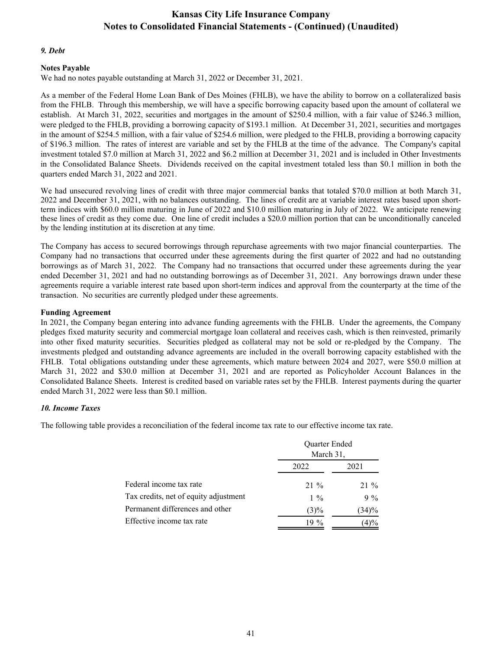#### *9. Debt*

### **Notes Payable**

We had no notes payable outstanding at March 31, 2022 or December 31, 2021.

As a member of the Federal Home Loan Bank of Des Moines (FHLB), we have the ability to borrow on a collateralized basis from the FHLB. Through this membership, we will have a specific borrowing capacity based upon the amount of collateral we establish. At March 31, 2022, securities and mortgages in the amount of \$250.4 million, with a fair value of \$246.3 million, were pledged to the FHLB, providing a borrowing capacity of \$193.1 million. At December 31, 2021, securities and mortgages in the amount of \$254.5 million, with a fair value of \$254.6 million, were pledged to the FHLB, providing a borrowing capacity of \$196.3 million. The rates of interest are variable and set by the FHLB at the time of the advance. The Company's capital investment totaled \$7.0 million at March 31, 2022 and \$6.2 million at December 31, 2021 and is included in Other Investments in the Consolidated Balance Sheets. Dividends received on the capital investment totaled less than \$0.1 million in both the quarters ended March 31, 2022 and 2021.

We had unsecured revolving lines of credit with three major commercial banks that totaled \$70.0 million at both March 31, 2022 and December 31, 2021, with no balances outstanding. The lines of credit are at variable interest rates based upon shortterm indices with \$60.0 million maturing in June of 2022 and \$10.0 million maturing in July of 2022. We anticipate renewing these lines of credit as they come due. One line of credit includes a \$20.0 million portion that can be unconditionally canceled by the lending institution at its discretion at any time.

The Company has access to secured borrowings through repurchase agreements with two major financial counterparties. The Company had no transactions that occurred under these agreements during the first quarter of 2022 and had no outstanding borrowings as of March 31, 2022. The Company had no transactions that occurred under these agreements during the year ended December 31, 2021 and had no outstanding borrowings as of December 31, 2021. Any borrowings drawn under these agreements require a variable interest rate based upon short-term indices and approval from the counterparty at the time of the transaction. No securities are currently pledged under these agreements.

### **Funding Agreement**

In 2021, the Company began entering into advance funding agreements with the FHLB. Under the agreements, the Company pledges fixed maturity security and commercial mortgage loan collateral and receives cash, which is then reinvested, primarily into other fixed maturity securities. Securities pledged as collateral may not be sold or re-pledged by the Company. The investments pledged and outstanding advance agreements are included in the overall borrowing capacity established with the FHLB. Total obligations outstanding under these agreements, which mature between 2024 and 2027, were \$50.0 million at March 31, 2022 and \$30.0 million at December 31, 2021 and are reported as Policyholder Account Balances in the Consolidated Balance Sheets. Interest is credited based on variable rates set by the FHLB. Interest payments during the quarter ended March 31, 2022 were less than \$0.1 million.

### *10. Income Taxes*

The following table provides a reconciliation of the federal income tax rate to our effective income tax rate.

|                                       | Quarter Ended<br>March 31, |        |  |  |
|---------------------------------------|----------------------------|--------|--|--|
|                                       | 2022                       | 2021   |  |  |
| Federal income tax rate               | $21\%$                     | $21\%$ |  |  |
| Tax credits, net of equity adjustment | $1\%$                      | $9\%$  |  |  |
| Permanent differences and other       | $(3)\%$                    | (34)%  |  |  |
| Effective income tax rate             | 19 %                       |        |  |  |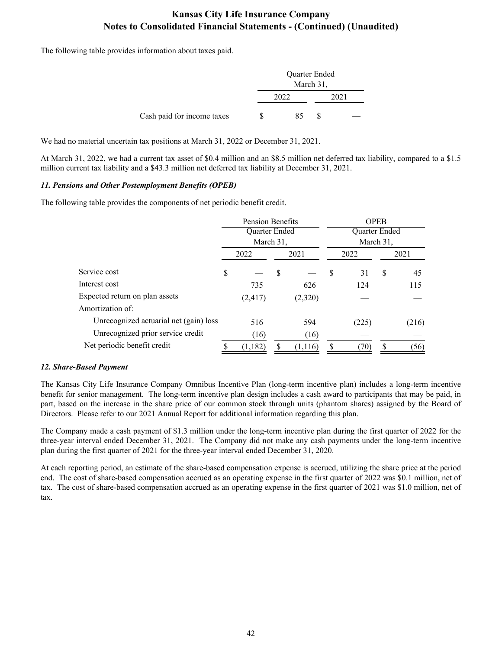The following table provides information about taxes paid.

|                            |   | Quarter Ended |  |      |  |  |  |  |
|----------------------------|---|---------------|--|------|--|--|--|--|
|                            |   | March 31.     |  |      |  |  |  |  |
|                            |   | 2022          |  | 2021 |  |  |  |  |
| Cash paid for income taxes | S | 85            |  |      |  |  |  |  |

We had no material uncertain tax positions at March 31, 2022 or December 31, 2021.

At March 31, 2022, we had a current tax asset of \$0.4 million and an \$8.5 million net deferred tax liability, compared to a \$1.5 million current tax liability and a \$43.3 million net deferred tax liability at December 31, 2021.

### *11. Pensions and Other Postemployment Benefits (OPEB)*

The following table provides the components of net periodic benefit credit.

|                                        | <b>Pension Benefits</b> |                      |   |         | <b>OPEB</b>   |       |    |       |
|----------------------------------------|-------------------------|----------------------|---|---------|---------------|-------|----|-------|
|                                        |                         | <b>Ouarter Ended</b> |   |         | Quarter Ended |       |    |       |
|                                        |                         | March 31,            |   |         | March 31,     |       |    |       |
|                                        |                         | 2022<br>2021         |   |         | 2022          |       |    | 2021  |
| Service cost                           | \$                      |                      | S |         | S             | 31    | \$ | 45    |
| Interest cost                          |                         | 735                  |   | 626     |               | 124   |    | 115   |
| Expected return on plan assets         |                         | (2, 417)             |   | (2,320) |               |       |    |       |
| Amortization of:                       |                         |                      |   |         |               |       |    |       |
| Unrecognized actuarial net (gain) loss |                         | 516                  |   | 594     |               | (225) |    | (216) |
| Unrecognized prior service credit      |                         | (16)                 |   | (16)    |               |       |    |       |
| Net periodic benefit credit            |                         | (1, 182)             |   | (1,116) |               | 70)   |    | (56)  |

### *12. Share-Based Payment*

The Kansas City Life Insurance Company Omnibus Incentive Plan (long-term incentive plan) includes a long-term incentive benefit for senior management. The long-term incentive plan design includes a cash award to participants that may be paid, in part, based on the increase in the share price of our common stock through units (phantom shares) assigned by the Board of Directors. Please refer to our 2021 Annual Report for additional information regarding this plan.

The Company made a cash payment of \$1.3 million under the long-term incentive plan during the first quarter of 2022 for the three-year interval ended December 31, 2021. The Company did not make any cash payments under the long-term incentive plan during the first quarter of 2021 for the three-year interval ended December 31, 2020.

At each reporting period, an estimate of the share-based compensation expense is accrued, utilizing the share price at the period end. The cost of share-based compensation accrued as an operating expense in the first quarter of 2022 was \$0.1 million, net of tax. The cost of share-based compensation accrued as an operating expense in the first quarter of 2021 was \$1.0 million, net of tax.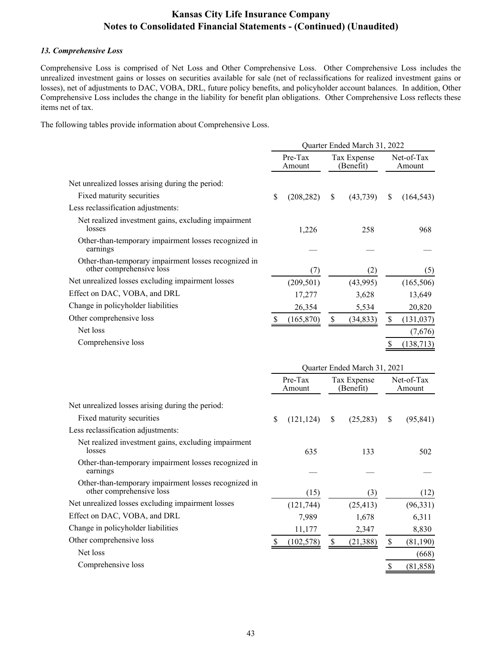### *13. Comprehensive Loss*

Comprehensive Loss is comprised of Net Loss and Other Comprehensive Loss. Other Comprehensive Loss includes the unrealized investment gains or losses on securities available for sale (net of reclassifications for realized investment gains or losses), net of adjustments to DAC, VOBA, DRL, future policy benefits, and policyholder account balances. In addition, Other Comprehensive Loss includes the change in the liability for benefit plan obligations. Other Comprehensive Loss reflects these items net of tax.

The following tables provide information about Comprehensive Loss.

|                                                                                  | Quarter Ended March 31, 2022 |                   |    |                          |    |                      |  |  |  |
|----------------------------------------------------------------------------------|------------------------------|-------------------|----|--------------------------|----|----------------------|--|--|--|
|                                                                                  |                              | Pre-Tax<br>Amount |    | Tax Expense<br>(Benefit) |    | Net-of-Tax<br>Amount |  |  |  |
| Net unrealized losses arising during the period:                                 |                              |                   |    |                          |    |                      |  |  |  |
| Fixed maturity securities                                                        | \$                           | (208, 282)        | S. | (43,739)                 | \$ | (164, 543)           |  |  |  |
| Less reclassification adjustments:                                               |                              |                   |    |                          |    |                      |  |  |  |
| Net realized investment gains, excluding impairment<br>losses                    |                              | 1,226             |    | 258                      |    | 968                  |  |  |  |
| Other-than-temporary impairment losses recognized in<br>earnings                 |                              |                   |    |                          |    |                      |  |  |  |
| Other-than-temporary impairment losses recognized in<br>other comprehensive loss |                              | (7)               |    | (2)                      |    | (5)                  |  |  |  |
| Net unrealized losses excluding impairment losses                                |                              | (209, 501)        |    | (43,995)                 |    | (165, 506)           |  |  |  |
| Effect on DAC, VOBA, and DRL                                                     |                              | 17,277            |    | 3,628                    |    | 13,649               |  |  |  |
| Change in policyholder liabilities                                               |                              | 26,354            |    | 5,534                    |    | 20,820               |  |  |  |
| Other comprehensive loss                                                         |                              | (165, 870)        | \$ | (34, 833)                | \$ | (131, 037)           |  |  |  |
| Net loss                                                                         |                              |                   |    |                          |    | (7,676)              |  |  |  |
| Comprehensive loss                                                               |                              |                   |    |                          |    | (138, 713)           |  |  |  |

|                                                                                  | Quarter Ended March 31, 2021 |                   |               |                          |                      |           |  |  |  |
|----------------------------------------------------------------------------------|------------------------------|-------------------|---------------|--------------------------|----------------------|-----------|--|--|--|
|                                                                                  |                              | Pre-Tax<br>Amount |               | Tax Expense<br>(Benefit) | Net-of-Tax<br>Amount |           |  |  |  |
| Net unrealized losses arising during the period:                                 |                              |                   |               |                          |                      |           |  |  |  |
| Fixed maturity securities                                                        | \$                           | (121, 124)        | \$            | (25, 283)                | \$                   | (95, 841) |  |  |  |
| Less reclassification adjustments:                                               |                              |                   |               |                          |                      |           |  |  |  |
| Net realized investment gains, excluding impairment<br>losses                    |                              | 635               |               | 133                      |                      | 502       |  |  |  |
| Other-than-temporary impairment losses recognized in<br>earnings                 |                              |                   |               |                          |                      |           |  |  |  |
| Other-than-temporary impairment losses recognized in<br>other comprehensive loss |                              | (15)              |               | (3)                      |                      | (12)      |  |  |  |
| Net unrealized losses excluding impairment losses                                |                              | (121, 744)        |               | (25, 413)                |                      | (96, 331) |  |  |  |
| Effect on DAC, VOBA, and DRL                                                     |                              | 7,989             |               | 1,678                    |                      | 6,311     |  |  |  |
| Change in policyholder liabilities                                               |                              | 11,177            |               | 2,347                    |                      | 8,830     |  |  |  |
| Other comprehensive loss                                                         |                              | (102, 578)        | <sup>\$</sup> | (21, 388)                | \$                   | (81, 190) |  |  |  |
| Net loss                                                                         |                              |                   |               |                          |                      | (668)     |  |  |  |
| Comprehensive loss                                                               |                              |                   |               |                          | \$                   | (81, 858) |  |  |  |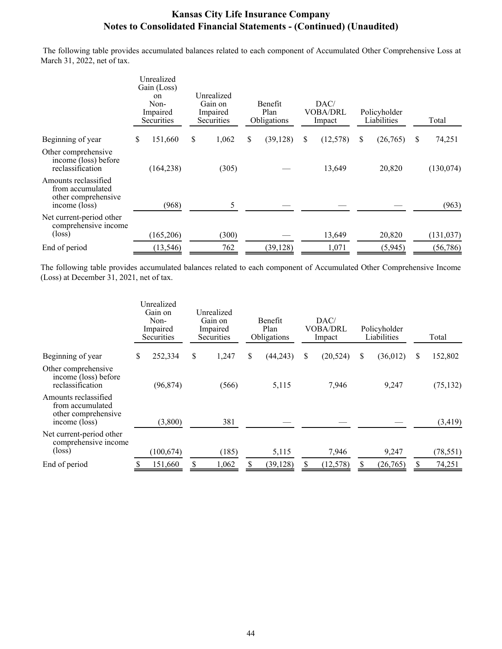The following table provides accumulated balances related to each component of Accumulated Other Comprehensive Loss at March 31, 2022, net of tax.

|                                                                                  |   | Unrealized<br>Gain (Loss)<br>on<br>Non-<br>Impaired<br>Securities | Unrealized<br>Gain on<br>Impaired<br>Securities |       | <b>Benefit</b><br>Plan<br>Obligations |           | DAC/<br><b>VOBA/DRL</b><br>Impact |          | Policyholder<br>Liabilities |          | Total         |            |
|----------------------------------------------------------------------------------|---|-------------------------------------------------------------------|-------------------------------------------------|-------|---------------------------------------|-----------|-----------------------------------|----------|-----------------------------|----------|---------------|------------|
| Beginning of year                                                                | S | 151,660                                                           | \$                                              | 1,062 | S.                                    | (39, 128) | \$                                | (12,578) | \$                          | (26,765) | <sup>\$</sup> | 74,251     |
| Other comprehensive<br>income (loss) before<br>reclassification                  |   | (164, 238)                                                        |                                                 | (305) |                                       |           |                                   | 13,649   |                             | 20,820   |               | (130, 074) |
| Amounts reclassified<br>from accumulated<br>other comprehensive<br>income (loss) |   | (968)                                                             |                                                 | 5     |                                       |           |                                   |          |                             |          |               | (963)      |
| Net current-period other<br>comprehensive income<br>$(\text{loss})$              |   | (165, 206)                                                        |                                                 | (300) |                                       |           |                                   | 13,649   |                             | 20,820   |               | (131, 037) |
| End of period                                                                    |   | (13, 546)                                                         |                                                 | 762   |                                       | (39, 128) |                                   | 1,071    |                             | (5,945)  |               | (56, 786)  |

The following table provides accumulated balances related to each component of Accumulated Other Comprehensive Income (Loss) at December 31, 2021, net of tax.

|                                                                                  |   | Unrealized<br>Gain on<br>Non-<br>Impaired<br>Securities | Unrealized<br>Gain on<br>Impaired<br>Securities |       | <b>Benefit</b><br>Plan<br>Obligations |           | DAC/<br>VOBA/DRL<br>Impact |           | Policyholder<br>Liabilities |           | Total    |           |
|----------------------------------------------------------------------------------|---|---------------------------------------------------------|-------------------------------------------------|-------|---------------------------------------|-----------|----------------------------|-----------|-----------------------------|-----------|----------|-----------|
| Beginning of year                                                                | S | 252,334                                                 | \$                                              | 1,247 | S                                     | (44, 243) | S                          | (20, 524) | S                           | (36, 012) | <b>S</b> | 152,802   |
| Other comprehensive<br>income (loss) before<br>reclassification                  |   | (96, 874)                                               |                                                 | (566) |                                       | 5,115     |                            | 7,946     |                             | 9,247     |          | (75, 132) |
| Amounts reclassified<br>from accumulated<br>other comprehensive<br>income (loss) |   | (3,800)                                                 |                                                 | 381   |                                       |           |                            |           |                             |           |          | (3, 419)  |
| Net current-period other<br>comprehensive income<br>$(\text{loss})$              |   | (100, 674)                                              |                                                 | (185) |                                       | 5,115     |                            | 7,946     |                             | 9,247     |          | (78, 551) |
| End of period                                                                    |   | 151,660                                                 |                                                 | 1,062 |                                       | (39, 128) |                            | (12, 578) |                             | (26,765)  |          | 74,251    |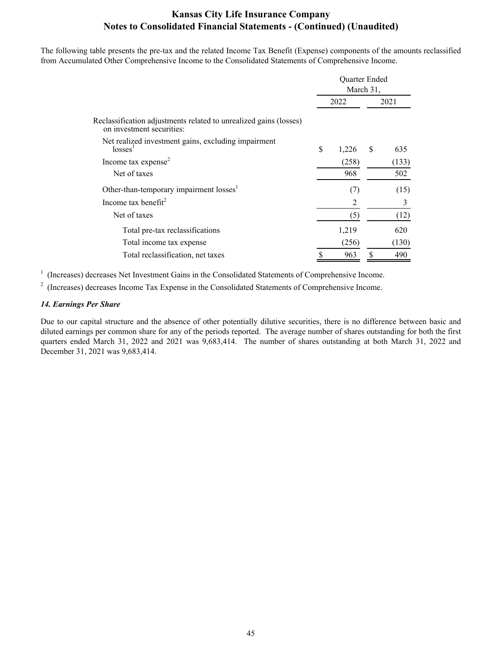The following table presents the pre-tax and the related Income Tax Benefit (Expense) components of the amounts reclassified from Accumulated Other Comprehensive Income to the Consolidated Statements of Comprehensive Income.

|                                                                                                |    | <b>Ouarter Ended</b> |   |       |
|------------------------------------------------------------------------------------------------|----|----------------------|---|-------|
|                                                                                                |    | 2022                 |   | 2021  |
| Reclassification adjustments related to unrealized gains (losses)<br>on investment securities: |    |                      |   |       |
| Net realized investment gains, excluding impairment<br>losses <sup>T</sup>                     | \$ | 1,226                | S | 635   |
| Income tax expense <sup>2</sup>                                                                |    | (258)                |   | (133) |
| Net of taxes                                                                                   |    | 968                  |   | 502   |
| Other-than-temporary impairment losses <sup>1</sup>                                            |    | (7)                  |   | (15)  |
| Income tax benefit <sup>2</sup>                                                                |    | 2                    |   | 3     |
| Net of taxes                                                                                   |    | (5)                  |   | (12)  |
| Total pre-tax reclassifications                                                                |    | 1,219                |   | 620   |
| Total income tax expense                                                                       |    | (256)                |   | (130) |
| Total reclassification, net taxes                                                              |    | 963                  |   | 490   |

<sup>1</sup> (Increases) decreases Net Investment Gains in the Consolidated Statements of Comprehensive Income.

 $2\,$  (Increases) decreases Income Tax Expense in the Consolidated Statements of Comprehensive Income.

## *14. Earnings Per Share*

Due to our capital structure and the absence of other potentially dilutive securities, there is no difference between basic and diluted earnings per common share for any of the periods reported. The average number of shares outstanding for both the first quarters ended March 31, 2022 and 2021 was 9,683,414. The number of shares outstanding at both March 31, 2022 and December 31, 2021 was 9,683,414.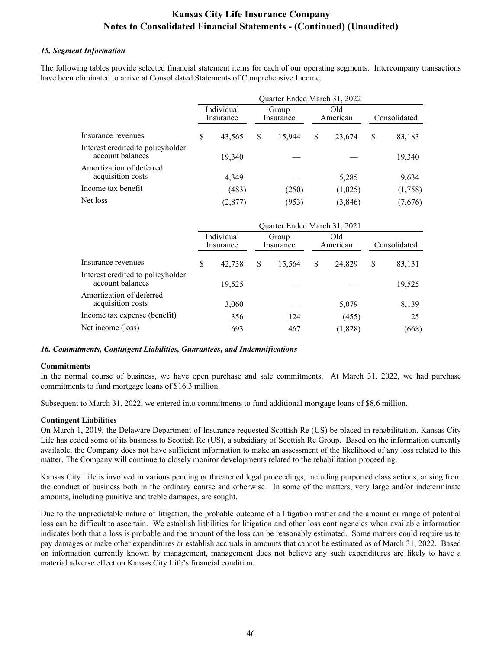### *15. Segment Information*

The following tables provide selected financial statement items for each of our operating segments. Intercompany transactions have been eliminated to arrive at Consolidated Statements of Comprehensive Income.

|                                                       |    | Individual<br>Insurance |    | Group<br>Insurance | Old<br>American | Consolidated |         |
|-------------------------------------------------------|----|-------------------------|----|--------------------|-----------------|--------------|---------|
| Insurance revenues                                    | \$ | 43,565                  | \$ | 15.944             | \$<br>23,674    | \$           | 83,183  |
| Interest credited to policyholder<br>account balances |    | 19.340                  |    |                    |                 |              | 19,340  |
| Amortization of deferred<br>acquisition costs         |    | 4,349                   |    |                    | 5,285           |              | 9,634   |
| Income tax benefit                                    |    | (483)                   |    | (250)              | (1,025)         |              | (1,758) |
| Net loss                                              |    | (2, 877)                |    | (953)              | (3, 846)        |              | (7,676) |

|                                                       | Individual<br>Insurance |        |   | Group<br>Insurance |   | Old<br>American | Consolidated |        |
|-------------------------------------------------------|-------------------------|--------|---|--------------------|---|-----------------|--------------|--------|
| Insurance revenues                                    | S                       | 42,738 | S | 15,564             | S | 24,829          | S            | 83,131 |
| Interest credited to policyholder<br>account balances |                         | 19,525 |   |                    |   |                 |              | 19,525 |
| Amortization of deferred<br>acquisition costs         |                         | 3,060  |   |                    |   | 5,079           |              | 8,139  |
| Income tax expense (benefit)                          |                         | 356    |   | 124                |   | (455)           |              | 25     |
| Net income (loss)                                     |                         | 693    |   | 467                |   | (1,828)         |              | (668)  |

### *16. Commitments, Contingent Liabilities, Guarantees, and Indemnifications*

#### **Commitments**

In the normal course of business, we have open purchase and sale commitments. At March 31, 2022, we had purchase commitments to fund mortgage loans of \$16.3 million.

Subsequent to March 31, 2022, we entered into commitments to fund additional mortgage loans of \$8.6 million.

#### **Contingent Liabilities**

On March 1, 2019, the Delaware Department of Insurance requested Scottish Re (US) be placed in rehabilitation. Kansas City Life has ceded some of its business to Scottish Re (US), a subsidiary of Scottish Re Group. Based on the information currently available, the Company does not have sufficient information to make an assessment of the likelihood of any loss related to this matter. The Company will continue to closely monitor developments related to the rehabilitation proceeding.

Kansas City Life is involved in various pending or threatened legal proceedings, including purported class actions, arising from the conduct of business both in the ordinary course and otherwise. In some of the matters, very large and/or indeterminate amounts, including punitive and treble damages, are sought.

Due to the unpredictable nature of litigation, the probable outcome of a litigation matter and the amount or range of potential loss can be difficult to ascertain. We establish liabilities for litigation and other loss contingencies when available information indicates both that a loss is probable and the amount of the loss can be reasonably estimated. Some matters could require us to pay damages or make other expenditures or establish accruals in amounts that cannot be estimated as of March 31, 2022. Based on information currently known by management, management does not believe any such expenditures are likely to have a material adverse effect on Kansas City Life's financial condition.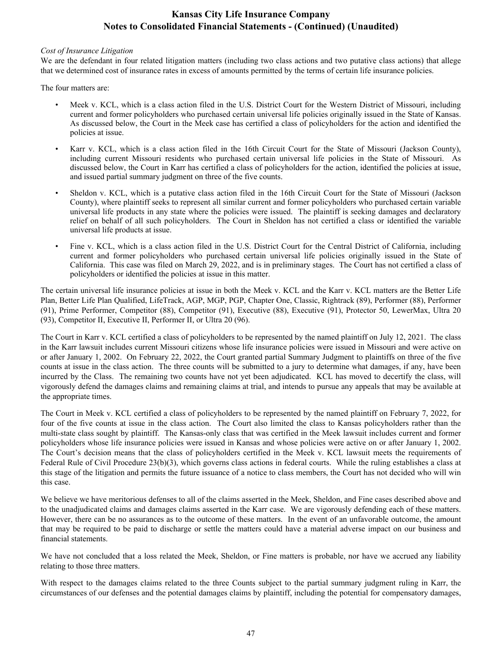### *Cost of Insurance Litigation*

We are the defendant in four related litigation matters (including two class actions and two putative class actions) that allege that we determined cost of insurance rates in excess of amounts permitted by the terms of certain life insurance policies.

The four matters are:

- Meek v. KCL, which is a class action filed in the U.S. District Court for the Western District of Missouri, including current and former policyholders who purchased certain universal life policies originally issued in the State of Kansas. As discussed below, the Court in the Meek case has certified a class of policyholders for the action and identified the policies at issue.
- Karr v. KCL, which is a class action filed in the 16th Circuit Court for the State of Missouri (Jackson County), including current Missouri residents who purchased certain universal life policies in the State of Missouri. As discussed below, the Court in Karr has certified a class of policyholders for the action, identified the policies at issue, and issued partial summary judgment on three of the five counts.
- Sheldon v. KCL, which is a putative class action filed in the 16th Circuit Court for the State of Missouri (Jackson County), where plaintiff seeks to represent all similar current and former policyholders who purchased certain variable universal life products in any state where the policies were issued. The plaintiff is seeking damages and declaratory relief on behalf of all such policyholders. The Court in Sheldon has not certified a class or identified the variable universal life products at issue.
- Fine v. KCL, which is a class action filed in the U.S. District Court for the Central District of California, including current and former policyholders who purchased certain universal life policies originally issued in the State of California. This case was filed on March 29, 2022, and is in preliminary stages. The Court has not certified a class of policyholders or identified the policies at issue in this matter.

The certain universal life insurance policies at issue in both the Meek v. KCL and the Karr v. KCL matters are the Better Life Plan, Better Life Plan Qualified, LifeTrack, AGP, MGP, PGP, Chapter One, Classic, Rightrack (89), Performer (88), Performer (91), Prime Performer, Competitor (88), Competitor (91), Executive (88), Executive (91), Protector 50, LewerMax, Ultra 20 (93), Competitor II, Executive II, Performer II, or Ultra 20 (96).

The Court in Karr v. KCL certified a class of policyholders to be represented by the named plaintiff on July 12, 2021. The class in the Karr lawsuit includes current Missouri citizens whose life insurance policies were issued in Missouri and were active on or after January 1, 2002. On February 22, 2022, the Court granted partial Summary Judgment to plaintiffs on three of the five counts at issue in the class action. The three counts will be submitted to a jury to determine what damages, if any, have been incurred by the Class. The remaining two counts have not yet been adjudicated. KCL has moved to decertify the class, will vigorously defend the damages claims and remaining claims at trial, and intends to pursue any appeals that may be available at the appropriate times.

The Court in Meek v. KCL certified a class of policyholders to be represented by the named plaintiff on February 7, 2022, for four of the five counts at issue in the class action. The Court also limited the class to Kansas policyholders rather than the multi-state class sought by plaintiff. The Kansas-only class that was certified in the Meek lawsuit includes current and former policyholders whose life insurance policies were issued in Kansas and whose policies were active on or after January 1, 2002. The Court's decision means that the class of policyholders certified in the Meek v. KCL lawsuit meets the requirements of Federal Rule of Civil Procedure 23(b)(3), which governs class actions in federal courts. While the ruling establishes a class at this stage of the litigation and permits the future issuance of a notice to class members, the Court has not decided who will win this case.

We believe we have meritorious defenses to all of the claims asserted in the Meek, Sheldon, and Fine cases described above and to the unadjudicated claims and damages claims asserted in the Karr case. We are vigorously defending each of these matters. However, there can be no assurances as to the outcome of these matters. In the event of an unfavorable outcome, the amount that may be required to be paid to discharge or settle the matters could have a material adverse impact on our business and financial statements.

We have not concluded that a loss related the Meek, Sheldon, or Fine matters is probable, nor have we accrued any liability relating to those three matters.

With respect to the damages claims related to the three Counts subject to the partial summary judgment ruling in Karr, the circumstances of our defenses and the potential damages claims by plaintiff, including the potential for compensatory damages,